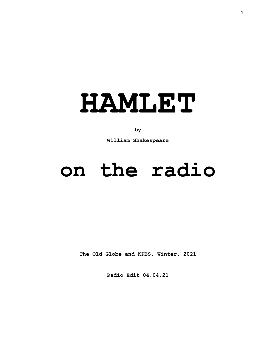

## **by**

**William Shakespeare**

# **on the radio**

**The Old Globe and KPBS, Winter, 2021**

**Radio Edit 04.04.21**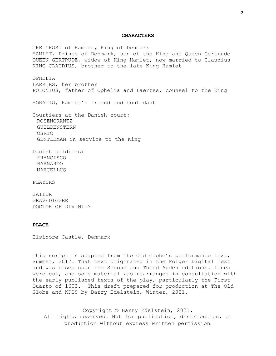#### **CHARACTERS**

THE GHOST of Hamlet, King of Denmark HAMLET, Prince of Denmark, son of the King and Queen Gertrude QUEEN GERTRUDE, widow of King Hamlet, now married to Claudius KING CLAUDIUS, brother to the late King Hamlet OPHELIA LAERTES, her brother POLONIUS, father of Ophelia and Laertes, counsel to the King HORATIO, Hamlet's friend and confidant Courtiers at the Danish court: ROSENCRANTZ GUILDENSTERN OSRIC GENTLEMAN in service to the King Danish soldiers: FRANCISCO BARNARDO MARCELLUS PLAYERS

SAILOR GRAVEDIGGER DOCTOR OF DIVINITY

#### **PLACE**

Elsinore Castle, Denmark

This script is adapted from The Old Globe's performance text, Summer, 2017. That text originated in the Folger Digital Text and was based upon the Second and Third Arden editions. Lines were cut, and some material was rearranged in consultation with the early published texts of the play, particularly the First Quarto of 1603. This draft prepared for production at The Old Globe and KPBS by Barry Edelstein, Winter, 2021.

Copyright © Barry Edelstein, 2021. All rights reserved. Not for publication, distribution, or production without express written permission.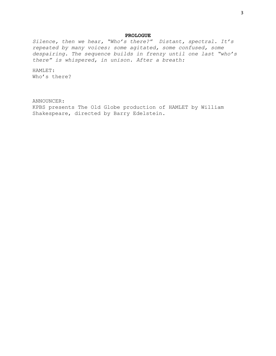#### **PROLOGUE**

*Silence, then we hear, "Who's there?" Distant, spectral. It's repeated by many voices: some agitated, some confused, some despairing. The sequence builds in frenzy until one last "who's there" is whispered, in unison. After a breath:*

HAMLET: Who's there?

ANNOUNCER: KPBS presents The Old Globe production of HAMLET by William Shakespeare, directed by Barry Edelstein.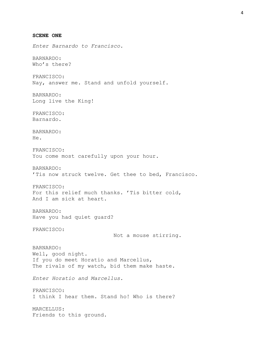**SCENE ONE** *Enter Barnardo to Francisco.* BARNARDO: Who's there? FRANCISCO: Nay, answer me. Stand and unfold yourself. BARNARDO: Long live the King! FRANCISCO: Barnardo. BARNARDO: He. FRANCISCO: You come most carefully upon your hour. BARNARDO: 'Tis now struck twelve. Get thee to bed, Francisco. FRANCISCO: For this relief much thanks. 'Tis bitter cold, And I am sick at heart. BARNARDO: Have you had quiet guard? FRANCISCO: Not a mouse stirring. BARNARDO: Well, good night. If you do meet Horatio and Marcellus, The rivals of my watch, bid them make haste. *Enter Horatio and Marcellus.* FRANCISCO: I think I hear them. Stand ho! Who is there? MARCELLUS: Friends to this ground.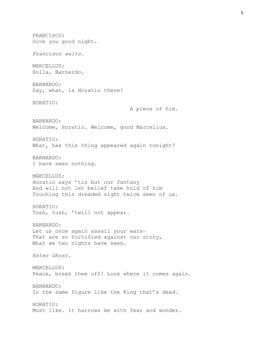FRANCISCO: Give you good night. *Francisco exits.* MARCELLUS: Holla, Barnardo. BARNARDO: Say, what, is Horatio there? HORATIO: A piece of him. BARNARDO: Welcome, Horatio. Welcome, good Marcellus. HORATIO: What, has this thing appeared again tonight? BARNARDO: I have seen nothing. MARCELLUS: Horatio says 'tis but our fantasy And will not let belief take hold of him Touching this dreaded sight twice seen of us. HORATIO: Tush, tush, 'twill not appear. BARNARDO: Let us once again assail your ears— That are so fortified against our story, What we two nights have seen. *Enter Ghost.* MARCELLUS: Peace, break thee off! Look where it comes again. BARNARDO: In the same figure like the King that's dead. HORATIO: Most like. It harrows me with fear and wonder.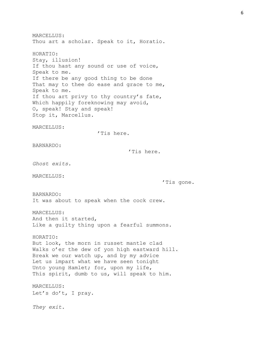MARCELLUS: Thou art a scholar. Speak to it, Horatio. HORATIO: Stay, illusion! If thou hast any sound or use of voice, Speak to me. If there be any good thing to be done That may to thee do ease and grace to me, Speak to me. If thou art privy to thy country's fate, Which happily foreknowing may avoid, O, speak! Stay and speak! Stop it, Marcellus. MARCELLUS: 'Tis here. BARNARDO: 'Tis here. *Ghost exits.* MARCELLUS: 'Tis gone. BARNARDO: It was about to speak when the cock crew. MARCELLUS: And then it started, Like a guilty thing upon a fearful summons. HORATIO: But look, the morn in russet mantle clad Walks o'er the dew of yon high eastward hill. Break we our watch up, and by my advice Let us impart what we have seen tonight Unto young Hamlet; for, upon my life, This spirit, dumb to us, will speak to him. MARCELLUS: Let's do't, I pray. *They exit.*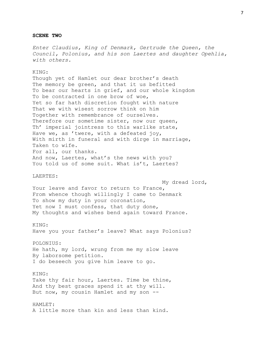#### **SCENE TWO**

*Enter Claudius, King of Denmark, Gertrude the Queen, the Council, Polonius, and his son Laertes and daughter Opehlia, with others.*

### KING:

Though yet of Hamlet our dear brother's death The memory be green, and that it us befitted To bear our hearts in grief, and our whole kingdom To be contracted in one brow of woe, Yet so far hath discretion fought with nature That we with wisest sorrow think on him Together with remembrance of ourselves. Therefore our sometime sister, now our queen, Th' imperial jointress to this warlike state, Have we, as 'twere, with a defeated joy, With mirth in funeral and with dirge in marriage, Taken to wife. For all, our thanks. And now, Laertes, what's the news with you? You told us of some suit. What is't, Laertes?

## LAERTES:

My dread lord, Your leave and favor to return to France, From whence though willingly I came to Denmark To show my duty in your coronation, Yet now I must confess, that duty done, My thoughts and wishes bend again toward France.

### KING:

Have you your father's leave? What says Polonius?

POLONIUS:

He hath, my lord, wrung from me my slow leave By laborsome petition. I do beseech you give him leave to go.

### KING:

Take thy fair hour, Laertes. Time be thine, And thy best graces spend it at thy will. But now, my cousin Hamlet and my son --

# HAMLET:

A little more than kin and less than kind.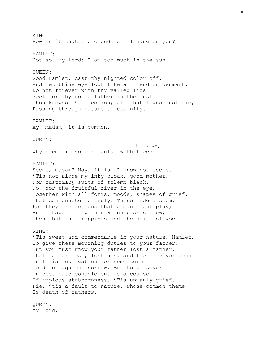KING: How is it that the clouds still hang on you? HAMLET: Not so, my lord; I am too much in the sun. QUEEN: Good Hamlet, cast thy nighted color off, And let thine eye look like a friend on Denmark. Do not forever with thy vailed lids Seek for thy noble father in the dust. Thou know'st 'tis common; all that lives must die, Passing through nature to eternity. HAMLET: Ay, madam, it is common. QUEEN: If it be, Why seems it so particular with thee? HAMLET: Seems, madam? Nay, it is. I know not seems. 'Tis not alone my inky cloak, good mother, Nor customary suits of solemn black, No, nor the fruitful river in the eye, Together with all forms, moods, shapes of grief, That can denote me truly. These indeed seem, For they are actions that a man might play; But I have that within which passes show, These but the trappings and the suits of woe. KING: 'Tis sweet and commendable in your nature, Hamlet, To give these mourning duties to your father. But you must know your father lost a father, That father lost, lost his, and the survivor bound In filial obligation for some term To do obsequious sorrow. But to persever In obstinate condolement is a course Of impious stubbornness. 'Tis unmanly grief. Fie, 'tis a fault to nature, whose common theme Is death of fathers. QUEEN: My lord.

8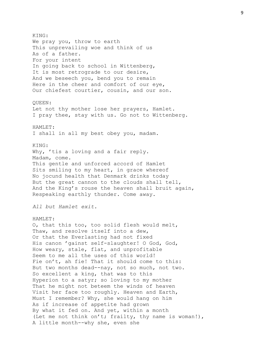KING: We pray you, throw to earth This unprevailing woe and think of us As of a father. For your intent In going back to school in Wittenberg, It is most retrograde to our desire, And we beseech you, bend you to remain Here in the cheer and comfort of our eye, Our chiefest courtier, cousin, and our son. QUEEN: Let not thy mother lose her prayers, Hamlet. I pray thee, stay with us. Go not to Wittenberg. HAMLET: I shall in all my best obey you, madam. KING: Why, 'tis a loving and a fair reply. Madam, come. This gentle and unforced accord of Hamlet Sits smiling to my heart, in grace whereof No jocund health that Denmark drinks today But the great cannon to the clouds shall tell, And the King's rouse the heaven shall bruit again, Respeaking earthly thunder. Come away. *All but Hamlet exit.* HAMLET: O, that this too, too solid flesh would melt, Thaw, and resolve itself into a dew, Or that the Everlasting had not fixed His canon 'gainst self-slaughter! O God, God, How weary, stale, flat, and unprofitable Seem to me all the uses of this world! Fie on't, ah fie! That it should come to this: But two months dead--nay, not so much, not two. So excellent a king, that was to this Hyperion to a satyr; so loving to my mother That he might not beteem the winds of heaven Visit her face too roughly. Heaven and Earth, Must I remember? Why, she would hang on him As if increase of appetite had grown By what it fed on. And yet, within a month (Let me not think on't; frailty, thy name is woman!), A little month--why she, even she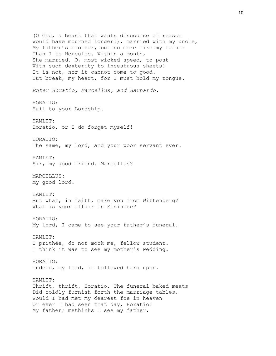(O God, a beast that wants discourse of reason Would have mourned longer!), married with my uncle, My father's brother, but no more like my father Than I to Hercules. Within a month, She married. O, most wicked speed, to post With such dexterity to incestuous sheets! It is not, nor it cannot come to good. But break, my heart, for I must hold my tongue. *Enter Horatio, Marcellus, and Barnardo.* HORATIO: Hail to your Lordship. HAMLET: Horatio, or I do forget myself! HORATIO: The same, my lord, and your poor servant ever. HAMLET: Sir, my good friend. Marcellus? MARCELLUS: My good lord. HAMLET: But what, in faith, make you from Wittenberg? What is your affair in Elsinore? HORATIO: My lord, I came to see your father's funeral. HAMLET: I prithee, do not mock me, fellow student. I think it was to see my mother's wedding. HORATIO: Indeed, my lord, it followed hard upon. HAMLET: Thrift, thrift, Horatio. The funeral baked meats Did coldly furnish forth the marriage tables. Would I had met my dearest foe in heaven Or ever I had seen that day, Horatio! My father; methinks I see my father.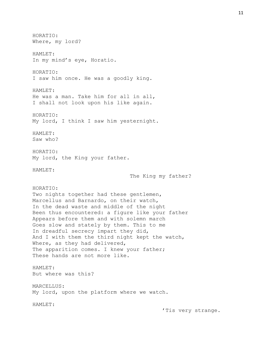HORATIO: Where, my lord? HAMLET: In my mind's eye, Horatio. HORATIO: I saw him once. He was a goodly king. HAMLET: He was a man. Take him for all in all, I shall not look upon his like again. HORATIO: My lord, I think I saw him yesternight. HAMLET: Saw who? HORATIO: My lord, the King your father. HAMLET: The King my father? HORATIO: Two nights together had these gentlemen, Marcellus and Barnardo, on their watch, In the dead waste and middle of the night Been thus encountered: a figure like your father Appears before them and with solemn march Goes slow and stately by them. This to me In dreadful secrecy impart they did, And I with them the third night kept the watch, Where, as they had delivered, The apparition comes. I knew your father; These hands are not more like. HAMLET: But where was this? MARCELLUS: My lord, upon the platform where we watch. HAMLET: 'Tis very strange.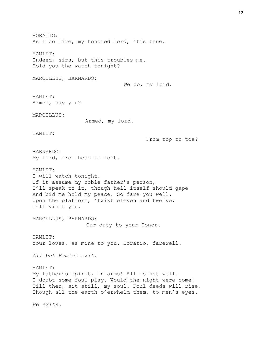HORATIO: As I do live, my honored lord, 'tis true. HAMLET: Indeed, sirs, but this troubles me. Hold you the watch tonight? MARCELLUS, BARNARDO: We do, my lord. HAMLET: Armed, say you? MARCELLUS: Armed, my lord. HAMLET: From top to toe? BARNARDO: My lord, from head to foot. HAMLET: I will watch tonight. If it assume my noble father's person, I'll speak to it, though hell itself should gape And bid me hold my peace. So fare you well. Upon the platform, 'twixt eleven and twelve, I'll visit you. MARCELLUS, BARNARDO: Our duty to your Honor. HAMLET: Your loves, as mine to you. Horatio, farewell. *All but Hamlet exit.* HAMLET: My father's spirit, in arms! All is not well. I doubt some foul play. Would the night were come! Till then, sit still, my soul. Foul deeds will rise, Though all the earth o'erwhelm them, to men's eyes. *He exits.*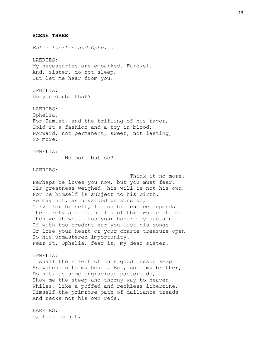**SCENE THREE**

O, fear me not.

*Enter Laertes and Ophelia* LAERTES: My necessaries are embarked. Farewell. And, sister, do not sleep, But let me hear from you. OPHELIA: Do you doubt that? LAERTES: Ophelia. For Hamlet, and the trifling of his favor, Hold it a fashion and a toy in blood, Forward, not permanent, sweet, not lasting, No more. OPHELIA: No more but so? LAERTES: Think it no more. Perhaps he loves you now, but you must fear, His greatness weighed, his will is not his own, For he himself is subject to his birth. He may not, as unvalued persons do, Carve for himself, for on his choice depends The safety and the health of this whole state. Then weigh what loss your honor may sustain If with too credent ear you list his songs Or lose your heart or your chaste treasure open To his unmastered importunity. Fear it, Ophelia; fear it, my dear sister. OPHELIA: I shall the effect of this good lesson keep As watchman to my heart. But, good my brother, Do not, as some ungracious pastors do, Show me the steep and thorny way to heaven, Whiles, like a puffed and reckless libertine, Himself the primrose path of dalliance treads And recks not his own rede. LAERTES:

13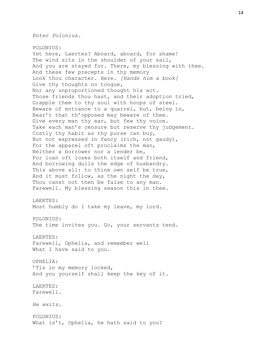*Enter Polonius.*

POLONIUS: Yet here, Laertes? Aboard, aboard, for shame! The wind sits in the shoulder of your sail, And you are stayed for. There, my blessing with thee. And these few precepts in thy memory Look thou character. Here. *[Hands him a book]* Give thy thoughts no tongue, Nor any unproportioned thought his act. Those friends thou hast, and their adoption tried, Grapple them to thy soul with hoops of steel. Beware of entrance to a quarrel, but, being in, Bear't that th'opposed may beware of thee. Give every man thy ear, but few thy voice. Take each man's censure but reserve thy judgement. Costly thy habit as thy purse can buy, But not expressed in fancy (rich, not gaudy), For the apparel oft proclaims the man, Neither a borrower nor a lender be, For loan oft loses both itself and friend, And borrowing dulls the edge of husbandry. This above all: to thine own self be true, And it must follow, as the night the day, Thou canst not then be false to any man. Farewell. My blessing season this in thee. LAERTES: Most humbly do I take my leave, my lord. POLONIUS: The time invites you. Go, your servants tend. LAERTES: Farewell, Ophelia, and remember well What I have said to you. OPHELIA: 'Tis in my memory locked, And you yourself shall keep the key of it. LAERTES: Farewell. *He exits.* POLONIUS: What is't, Ophelia, he hath said to you?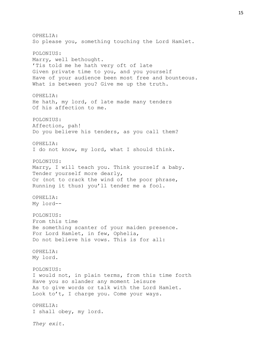OPHELIA: So please you, something touching the Lord Hamlet. POLONIUS: Marry, well bethought. 'Tis told me he hath very oft of late Given private time to you, and you yourself Have of your audience been most free and bounteous. What is between you? Give me up the truth. OPHELIA: He hath, my lord, of late made many tenders Of his affection to me. POLONIUS: Affection, pah! Do you believe his tenders, as you call them? OPHELIA: I do not know, my lord, what I should think. POLONIUS: Marry, I will teach you. Think yourself a baby. Tender yourself more dearly, Or (not to crack the wind of the poor phrase, Running it thus) you'll tender me a fool. OPHELIA: My lord-- POLONIUS: From this time Be something scanter of your maiden presence. For Lord Hamlet, in few, Ophelia, Do not believe his vows. This is for all: OPHELIA: My lord. POLONIUS: I would not, in plain terms, from this time forth Have you so slander any moment leisure As to give words or talk with the Lord Hamlet. Look to't, I charge you. Come your ways. OPHELIA: I shall obey, my lord. *They exit.*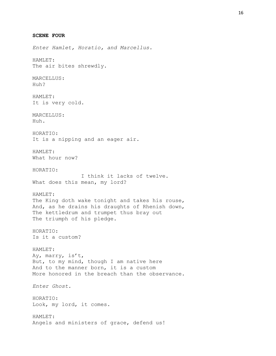**SCENE FOUR** *Enter Hamlet, Horatio, and Marcellus.* HAMLET: The air bites shrewdly. MARCELLUS: Huh? HAMLET: It is very cold. MARCELLUS: Huh. HORATIO: It is a nipping and an eager air. HAMLET: What hour now? HORATIO: I think it lacks of twelve. What does this mean, my lord? HAMLET: The King doth wake tonight and takes his rouse, And, as he drains his draughts of Rhenish down, The kettledrum and trumpet thus bray out The triumph of his pledge. HORATIO: Is it a custom? HAMLET: Ay, marry, is't, But, to my mind, though I am native here And to the manner born, it is a custom More honored in the breach than the observance. *Enter Ghost.* HORATIO: Look, my lord, it comes. HAMLET: Angels and ministers of grace, defend us!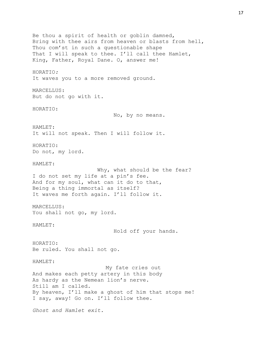Be thou a spirit of health or goblin damned, Bring with thee airs from heaven or blasts from hell, Thou com'st in such a questionable shape That I will speak to thee. I'll call thee Hamlet, King, Father, Royal Dane. O, answer me! HORATIO*:* It waves you to a more removed ground. MARCELLUS: But do not go with it. HORATIO: No, by no means. HAMLET: It will not speak. Then I will follow it. HORATIO: Do not, my lord. HAMLET: Why, what should be the fear? I do not set my life at a pin's fee. And for my soul, what can it do to that, Being a thing immortal as itself? It waves me forth again. I'll follow it. MARCELLUS: You shall not go, my lord. HAMLET: Hold off your hands. HORATIO: Be ruled. You shall not go. HAMLET: My fate cries out And makes each petty artery in this body As hardy as the Nemean lion's nerve. Still am I called. By heaven, I'll make a ghost of him that stops me! I say, away! Go on. I'll follow thee. *Ghost and Hamlet exit.*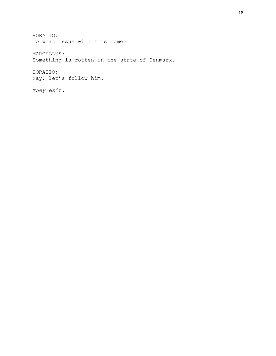HORATIO: To what issue will this come? MARCELLUS: Something is rotten in the state of Denmark. HORATIO: Nay, let's follow him. *They exit.*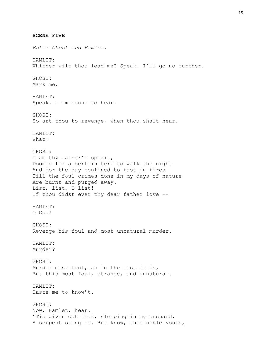*Enter Ghost and Hamlet.* Whither wilt thou lead me? Speak. I'll go no further. Speak. I am bound to hear.

GHOST: So art thou to revenge, when thou shalt hear. HAMLET: What? GHOST:

I am thy father's spirit, Doomed for a certain term to walk the night And for the day confined to fast in fires Till the foul crimes done in my days of nature Are burnt and purged away. List, list, O list! If thou didst ever thy dear father love --

HAMLET: O God!

**SCENE FIVE**

HAMLET:

GHOST: Mark me.

HAMLET:

GHOST: Revenge his foul and most unnatural murder.

HAMLET: Murder?

GHOST: Murder most foul, as in the best it is, But this most foul, strange, and unnatural.

HAMLET: Haste me to know't.

GHOST: Now, Hamlet, hear. 'Tis given out that, sleeping in my orchard, A serpent stung me. But know, thou noble youth,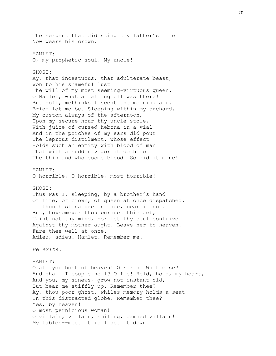The serpent that did sting thy father's life Now wears his crown. HAMLET: O, my prophetic soul! My uncle! GHOST: Ay, that incestuous, that adulterate beast, Won to his shameful lust The will of my most seeming-virtuous queen. O Hamlet, what a falling off was there! But soft, methinks I scent the morning air. Brief let me be. Sleeping within my orchard, My custom always of the afternoon, Upon my secure hour thy uncle stole, With juice of cursed hebona in a vial And in the porches of my ears did pour The leprous distilment. whose effect Holds such an enmity with blood of man That with a sudden vigor it doth rot The thin and wholesome blood. So did it mine! HAMLET: O horrible, O horrible, most horrible! GHOST: Thus was I, sleeping, by a brother's hand Of life, of crown, of queen at once dispatched. If thou hast nature in thee, bear it not. But, howsomever thou pursuet this act, Taint not thy mind, nor let thy soul contrive Against thy mother aught. Leave her to heaven. Fare thee well at once. Adieu, adieu. Hamlet. Remember me. *He exits.* HAMLET: O all you host of heaven! O Earth! What else? And shall I couple hell? O fie! Hold, hold, my heart, And you, my sinews, grow not instant old, But bear me stiffly up. Remember thee? Ay, thou poor ghost, whiles memory holds a seat In this distracted globe. Remember thee? Yes, by heaven! O most pernicious woman! O villain, villain, smiling, damned villain! My tables--meet it is I set it down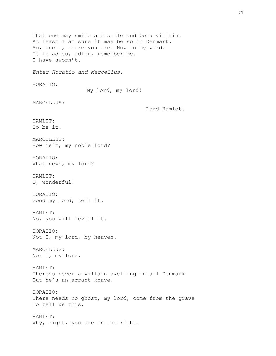That one may smile and smile and be a villain. At least I am sure it may be so in Denmark. So, uncle, there you are. Now to my word. It is adieu, adieu, remember me. I have sworn't. *Enter Horatio and Marcellus.* HORATIO: My lord, my lord! MARCELLUS: Lord Hamlet. HAMLET: So be it. MARCELLUS: How is't, my noble lord? HORATIO: What news, my lord? HAMLET: O, wonderful! HORATIO: Good my lord, tell it. HAMLET: No, you will reveal it. HORATIO: Not I, my lord, by heaven. MARCELLUS: Nor I, my lord. HAMLET: There's never a villain dwelling in all Denmark But he's an arrant knave. HORATIO: There needs no ghost, my lord, come from the grave To tell us this. HAMLET: Why, right, you are in the right.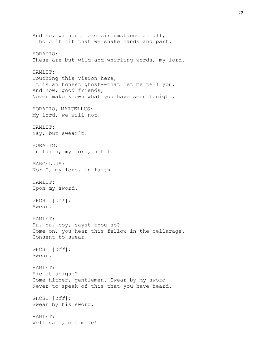And so, without more circumstance at all, I hold it fit that we shake hands and part. HORATIO: These are but wild and whirling words, my lord. HAMLET: Touching this vision here, It is an honest ghost--that let me tell you. And now, good friends, Never make known what you have seen tonight. HORATIO, MARCELLUS: My lord, we will not. HAMLET: Nay, but swear't. HORATIO: In faith, my lord, not I. MARCELLUS: Nor I, my lord, in faith. HAMLET: Upon my sword. GHOST [*off*]: Swear. HAMLET: Ha, ha, boy, sayst thou so? Come on, you hear this fellow in the cellarage. Consent to swear. GHOST [*off*]: Swear. HAMLET: Hic et ubique? Come hither, gentlemen. Swear by my sword Never to speak of this that you have heard. GHOST [*off*]: Swear by his sword. HAMLET: Well said, old mole!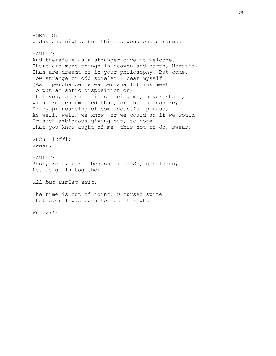HORATIO: O day and night, but this is wondrous strange. HAMLET: And therefore as a stranger give it welcome. There are more things in heaven and earth, Horatio, Than are dreamt of in your philosophy. But come. How strange or odd some'er I bear myself (As I perchance hereafter shall think meet To put an antic disposition on) That you, at such times seeing me, never shall, With arms encumbered thus, or this headshake, Or by pronouncing of some doubtful phrase, As well, well, we know, or we could an if we would, Or such ambiguous giving-out, to note That you know aught of me--this not to do, swear. GHOST [*off*]: Swear. HAMLET: Rest, rest, perturbed spirit.--So, gentlemen, Let us go in together. *All but Hamlet exit.* The time is out of joint. O cursed spite That ever I was born to set it right!

*He exits.*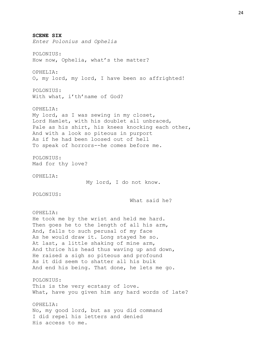**SCENE SIX** *Enter Polonius and Ophelia* POLONIUS: How now, Ophelia, what's the matter? OPHELIA: O, my lord, my lord, I have been so affrighted! POLONIUS: With what, i'th'name of God? OPHELIA: My lord, as I was sewing in my closet, Lord Hamlet, with his doublet all unbraced, Pale as his shirt, his knees knocking each other, And with a look so piteous in purport As if he had been loosed out of hell To speak of horrors--he comes before me. POLONIUS: Mad for thy love? OPHELIA: My lord, I do not know. POLONIUS: What said he? OPHELIA: He took me by the wrist and held me hard. Then goes he to the length of all his arm, And, falls to such perusal of my face As he would draw it. Long stayed he so. At last, a little shaking of mine arm, And thrice his head thus waving up and down, He raised a sigh so piteous and profound As it did seem to shatter all his bulk And end his being. That done, he lets me go. POLONIUS: This is the very ecstasy of love. What, have you given him any hard words of late? OPHELIA: No, my good lord, but as you did command I did repel his letters and denied His access to me.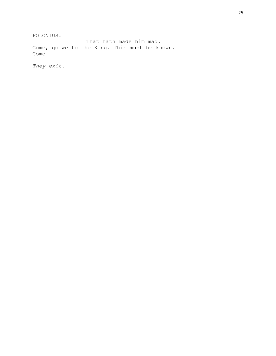POLONIUS:

That hath made him mad. Come, go we to the King. This must be known. Come.

*They exit.*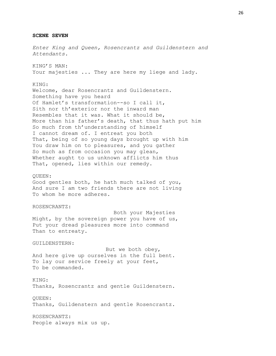**SCENE SEVEN** *Enter King and Queen, Rosencrantz and Guildenstern and Attendants.* KING'S MAN: Your majesties ... They are here my liege and lady. KING: Welcome, dear Rosencrantz and Guildenstern. Something have you heard Of Hamlet's transformation--so I call it, Sith nor th'exterior nor the inward man Resembles that it was. What it should be, More than his father's death, that thus hath put him So much from th'understanding of himself I cannot dream of. I entreat you both That, being of so young days brought up with him You draw him on to pleasures, and you gather So much as from occasion you may glean, Whether aught to us unknown afflicts him thus That, opened, lies within our remedy. QUEEN: Good gentles both, he hath much talked of you, And sure I am two friends there are not living To whom he more adheres. ROSENCRANTZ: Both your Majesties Might, by the sovereign power you have of us, Put your dread pleasures more into command Than to entreaty. GUILDENSTERN: But we both obey, And here give up ourselves in the full bent. To lay our service freely at your feet, To be commanded. KING: Thanks, Rosencrantz and gentle Guildenstern. QUEEN: Thanks, Guildenstern and gentle Rosencrantz. ROSENCRANTZ: People always mix us up.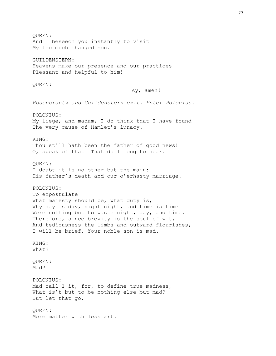QUEEN: And I beseech you instantly to visit My too much changed son. GUILDENSTERN: Heavens make our presence and our practices Pleasant and helpful to him! QUEEN: Ay, amen! *Rosencrantz and Guildenstern exit. Enter Polonius.* POLONIUS: My liege, and madam, I do think that I have found The very cause of Hamlet's lunacy. KING: Thou still hath been the father of good news! O, speak of that! That do I long to hear. QUEEN: I doubt it is no other but the main: His father's death and our o'erhasty marriage. POLONIUS: To expostulate What majesty should be, what duty is, Why day is day, night night, and time is time Were nothing but to waste night, day, and time. Therefore, since brevity is the soul of wit, And tediousness the limbs and outward flourishes, I will be brief. Your noble son is mad. KING: What? QUEEN: Mad? POLONIUS: Mad call I it, for, to define true madness, What is't but to be nothing else but mad? But let that go. QUEEN: More matter with less art.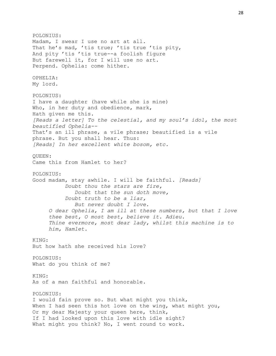POLONIUS: Madam, I swear I use no art at all. That he's mad, 'tis true; 'tis true 'tis pity, And pity 'tis 'tis true--a foolish figure But farewell it, for I will use no art. Perpend. Ophelia: come hither. OPHELIA: My lord. POLONIUS: I have a daughter (have while she is mine) Who, in her duty and obedience, mark, Hath given me this. *[Reads a letter] To the celestial, and my soul's idol, the most beautified Ophelia--* That's an ill phrase, a vile phrase; beautified is a vile phrase. But you shall hear. Thus: *[Reads] In her excellent white bosom, etc.* QUEEN: Came this from Hamlet to her? POLONIUS: Good madam, stay awhile. I will be faithful. *[Reads] Doubt thou the stars are fire, Doubt that the sun doth move, Doubt truth to be a liar, But never doubt I love. O dear Ophelia, I am ill at these numbers, but that I love thee best, O most best, believe it. Adieu. Thine evermore, most dear lady, whilst this machine is to him, Hamlet.* KING: But how hath she received his love? POLONIUS: What do you think of me? KING: As of a man faithful and honorable. POLONIUS: I would fain prove so. But what might you think, When I had seen this hot love on the wing, what might you, Or my dear Majesty your queen here, think, If I had looked upon this love with idle sight? What might you think? No, I went round to work.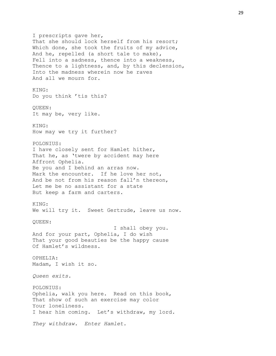I prescripts gave her, That she should lock herself from his resort; Which done, she took the fruits of my advice, And he, repelled (a short tale to make), Fell into a sadness, thence into a weakness, Thence to a lightness, and, by this declension, Into the madness wherein now he raves And all we mourn for. KING: Do you think 'tis this? QUEEN: It may be, very like. KING: How may we try it further? POLONIUS: I have closely sent for Hamlet hither, That he, as 'twere by accident may here Affront Ophelia. Be you and I behind an arras now. Mark the encounter. If he love her not, And be not from his reason fall'n thereon, Let me be no assistant for a state But keep a farm and carters. KING: We will try it. Sweet Gertrude, leave us now. QUEEN: I shall obey you. And for your part, Ophelia, I do wish That your good beauties be the happy cause Of Hamlet's wildness. OPHELIA: Madam, I wish it so. *Queen exits.* POLONIUS: Ophelia, walk you here. Read on this book, That show of such an exercise may color Your loneliness. I hear him coming. Let's withdraw, my lord. *They withdraw. Enter Hamlet.*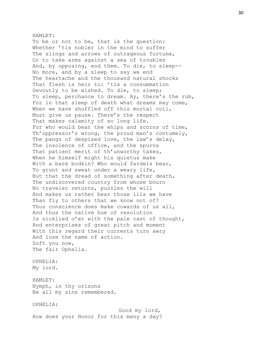#### HAMLET:

To be or not to be, that is the question: Whether 'tis nobler in the mind to suffer The slings and arrows of outrageous fortune, Or to take arms against a sea of troubles And, by opposing, end them. To die, to sleep-- No more, and by a sleep to say we end The heartache and the thousand natural shocks That flesh is heir to: 'tis a consummation Devoutly to be wished. To die, to sleep; To sleep, perchance to dream. Ay, there's the rub, For in that sleep of death what dreams may come, When we have shuffled off this mortal coil, Must give us pause. There's the respect That makes calamity of so long life. For who would bear the whips and scorns of time, Th'oppressor's wrong, the proud man's contumely, The pangs of despised love, the law's delay, The insolence of office, and the spurns That patient merit of th'unworthy takes, When he himself might his quietus make With a bare bodkin? Who would fardels bear, To grunt and sweat under a weary life, But that the dread of something after death, The undiscovered country from whose bourn No traveler returns, puzzles the will And makes us rather bear those ills we have Than fly to others that we know not of? Thus conscience does make cowards of us all, And thus the native hue of resolution Is sicklied o'er with the pale cast of thought, And enterprises of great pitch and moment With this regard their currents turn awry And lose the name of action. Soft you now, The fair Ophelia. OPHELIA:

My lord.

HAMLET: Nymph, in thy orisons Be all my sins remembered.

OPHELIA:

Good my lord, How does your Honor for this many a day?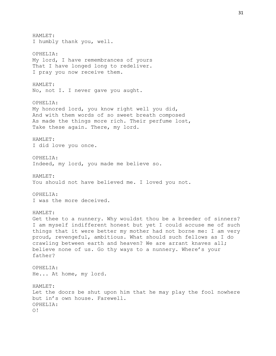HAMLET: I humbly thank you, well. OPHELIA: My lord, I have remembrances of yours That I have longed long to redeliver. I pray you now receive them. HAMLET: No, not I. I never gave you aught. OPHELIA: My honored lord, you know right well you did, And with them words of so sweet breath composed As made the things more rich. Their perfume lost, Take these again. There, my lord. HAMLET: I did love you once. OPHELIA: Indeed, my lord, you made me believe so. HAMLET: You should not have believed me. I loved you not. OPHELIA: I was the more deceived. HAMLET: Get thee to a nunnery. Why wouldst thou be a breeder of sinners? I am myself indifferent honest but yet I could accuse me of such things that it were better my mother had not borne me: I am very proud, revengeful, ambitious. What should such fellows as I do crawling between earth and heaven? We are arrant knaves all; believe none of us. Go thy ways to a nunnery. Where's your father? OPHELIA: He... At home, my lord. HAMLET: Let the doors be shut upon him that he may play the fool nowhere but in's own house. Farewell. OPHELIA: O!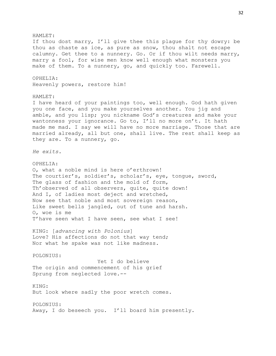HAMLET: If thou dost marry, I'll give thee this plague for thy dowry: be thou as chaste as ice, as pure as snow, thou shalt not escape calumny. Get thee to a nunnery. Go. Or if thou wilt needs marry, marry a fool, for wise men know well enough what monsters you make of them. To a nunnery, go, and quickly too. Farewell. OPHELIA: Heavenly powers, restore him! HAMLET: I have heard of your paintings too, well enough. God hath given you one face, and you make yourselves another. You jig and amble, and you lisp; you nickname God's creatures and make your wantonness your ignorance. Go to, I'll no more on't. It hath made me mad. I say we will have no more marriage. Those that are married already, all but one, shall live. The rest shall keep as they are. To a nunnery, go. *He exits.* OPHELIA: O, what a noble mind is here o'erthrown! The courtier's, soldier's, scholar's, eye, tongue, sword, The glass of fashion and the mold of form, Th'observed of all observers, quite, quite down! And I, of ladies most deject and wretched, Now see that noble and most sovereign reason, Like sweet bells jangled, out of tune and harsh. O, woe is me T'have seen what I have seen, see what I see! KING: [*advancing with Polonius*] Love? His affections do not that way tend; Nor what he spake was not like madness. POLONIUS: Yet I do believe The origin and commencement of his grief Sprung from neglected love.-- KING: But look where sadly the poor wretch comes. POLONIUS: Away, I do beseech you. I'll board him presently.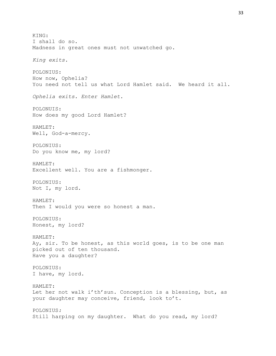KING: I shall do so. Madness in great ones must not unwatched go. *King exits.* POLONIUS: How now, Ophelia? You need not tell us what Lord Hamlet said. We heard it all. *Ophelia exits. Enter Hamlet.* POLONUIS: How does my good Lord Hamlet? HAMLET: Well, God-a-mercy. POLONIUS: Do you know me, my lord? HAMLET: Excellent well. You are a fishmonger. POLONIUS: Not I, my lord. HAMLET: Then I would you were so honest a man. POLONIUS: Honest, my lord? HAMLET: Ay, sir. To be honest, as this world goes, is to be one man picked out of ten thousand. Have you a daughter? POLONIUS: I have, my lord. HAMLET: Let her not walk i'th'sun. Conception is a blessing, but, as your daughter may conceive, friend, look to't. POLONIUS*:* Still harping on my daughter. What do you read, my lord?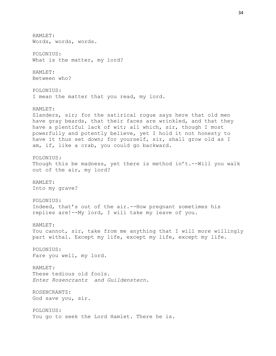HAMLET: Words, words, words. POLONIUS: What is the matter, my lord? HAMLET: Between who? POLONIUS: I mean the matter that you read, my lord. HAMLET: Slanders, sir; for the satirical rogue says here that old men have gray beards, that their faces are wrinkled, and that they have a plentiful lack of wit; all which, sir, though I most powerfully and potently believe, yet I hold it not honesty to have it thus set down; for yourself, sir, shall grow old as I am, if, like a crab, you could go backward. POLONIUS*:* Though this be madness, yet there is method in't.--Will you walk out of the air, my lord? HAMLET: Into my grave? POLONIUS: Indeed, that's out of the air.*--*How pregnant sometimes his replies are!--My lord, I will take my leave of you. HAMLET: You cannot, sir, take from me anything that I will more willingly part withal. Except my life, except my life, except my life. POLONIUS: Fare you well, my lord. HAMLET*:* These tedious old fools. *Enter Rosencrantz and Guildenstern.* ROSENCRANTZ: God save you, sir. POLONIUS: You go to seek the Lord Hamlet. There he is.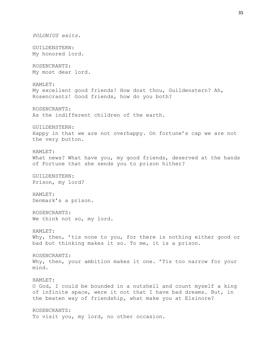*POLONIUS exits.* GUILDENSTERN: My honored lord. ROSENCRANTZ: My most dear lord. HAMLET: My excellent good friends! How dost thou, Guildenstern? Ah, Rosencrantz! Good friends, how do you both? ROSENCRANTZ: As the indifferent children of the earth. GUILDENSTERN: Happy in that we are not overhappy. On fortune's cap we are not the very button. HAMLET: What news? What have you, my good friends, deserved at the hands of Fortune that she sends you to prison hither? GUILDENSTERN: Prison, my lord? HAMLET: Denmark's a prison. ROSENCRANTZ: We think not so, my lord. HAMLET: Why, then, 'tis none to you, for there is nothing either good or bad but thinking makes it so. To me, it is a prison. ROSENCRANTZ: Why, then, your ambition makes it one. 'Tis too narrow for your mind. HAMLET: O God, I could be bounded in a nutshell and count myself a king of infinite space, were it not that I have bad dreams. But, in the beaten way of friendship, what make you at Elsinore? ROSENCRANTZ: To visit you, my lord, no other occasion.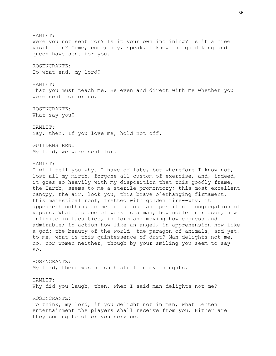HAMLET: Were you not sent for? Is it your own inclining? Is it a free visitation? Come, come; nay, speak. I know the good king and queen have sent for you. ROSENCRANTZ: To what end, my lord? HAMLET: That you must teach me. Be even and direct with me whether you were sent for or no. ROSENCRANTZ: What say you? HAMLET*:* Nay, then. If you love me, hold not off. GUILDENSTERN: My lord, we were sent for. HAMLET: I will tell you why. I have of late, but wherefore I know not, lost all my mirth, forgone all custom of exercise, and, indeed, it goes so heavily with my disposition that this goodly frame, the Earth, seems to me a sterile promontory; this most excellent canopy, the air, look you, this brave o'erhanging firmament, this majestical roof, fretted with golden fire--why, it appeareth nothing to me but a foul and pestilent congregation of vapors. What a piece of work is a man, how noble in reason, how infinite in faculties, in form and moving how express and admirable; in action how like an angel, in apprehension how like a god: the beauty of the world, the paragon of animals, and yet, to me, what is this quintessence of dust? Man delights not me, no, nor women neither, though by your smiling you seem to say so. ROSENCRANTZ: My lord, there was no such stuff in my thoughts. HAMLET: Why did you laugh, then, when I said man delights not me? ROSENCRANTZ: To think, my lord, if you delight not in man, what Lenten entertainment the players shall receive from you. Hither are they coming to offer you service.

36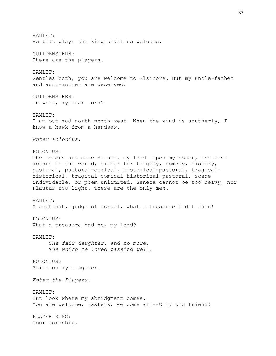HAMLET: He that plays the king shall be welcome. GUILDENSTERN: There are the players. HAMLET: Gentles both, you are welcome to Elsinore. But my uncle-father and aunt-mother are deceived. GUILDENSTERN: In what, my dear lord? HAMLET: I am but mad north-north-west. When the wind is southerly, I know a hawk from a handsaw. *Enter Polonius.* POLONIUS: The actors are come hither, my lord. Upon my honor, the best actors in the world, either for tragedy, comedy, history, pastoral, pastoral-comical, historical-pastoral, tragicalhistorical, tragical-comical-historical-pastoral, scene individable, or poem unlimited. Seneca cannot be too heavy, nor Plautus too light. These are the only men. HAMLET: O Jephthah, judge of Israel, what a treasure hadst thou! POLONIUS: What a treasure had he, my lord? HAMLET: *One fair daughter, and no more, The which he loved passing well.* POLONIUS*:* Still on my daughter. *Enter the Players.* HAMLET: But look where my abridgment comes. You are welcome, masters; welcome all--0 my old friend! PLAYER KING: Your lordship.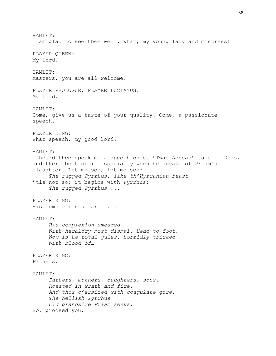HAMLET: I am glad to see thee well. What, my young lady and mistress! PLAYER QUEEN: My lord. HAMLET: Masters, you are all welcome. PLAYER PROLOGUE, PLAYER LUCIANUS: My lord. HAMLET: Come, give us a taste of your quality. Come, a passionate speech. PLAYER KING: What speech, my good lord? HAMLET: I heard thee speak me a speech once. 'Twas Aeneas' tale to Dido, and thereabout of it especially when he speaks of Priam's slaughter. Let me see, let me see: *The rugged Pyrrhus, like th'Hyrcanian beast—* 'tis not so; it begins with Pyrrhus: *The rugged Pyrrhus ...* PLAYER KING: His complexion smeared ... HAMLET: *His complexion smeared With heraldry most dismal. Head to foot, Now is he total gules, horridly tricked With blood of…* PLAYER KING: Fathers. HAMLET: *Fathers, mothers, daughters, sons. Roasted in wrath and fire, And thus o'ersized with coagulate gore, The hellish Pyrrhus Old grandsire Priam seeks.* So, proceed you.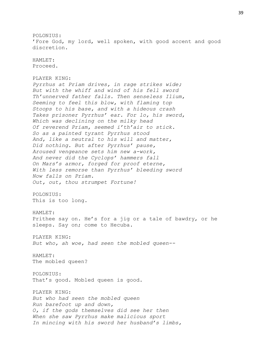POLONIUS: 'Fore God, my lord, well spoken, with good accent and good discretion. HAMLET: Proceed. PLAYER KING: *Pyrrhus at Priam drives, in rage strikes wide; But with the whiff and wind of his fell sword Th'unnerved father falls. Then senseless Ilium, Seeming to feel this blow, with flaming top Stoops to his base, and with a hideous crash Takes prisoner Pyrrhus' ear. For lo, his sword, Which was declining on the milky head Of reverend Priam, seemed i'th'air to stick. So as a painted tyrant Pyrrhus stood And, like a neutral to his will and matter, Did nothing. But after Pyrrhus' pause, Aroused vengeance sets him new a-work, And never did the Cyclops' hammers fall On Mars's armor, forged for proof eterne, With less remorse than Pyrrhus' bleeding sword Now falls on Priam. Out, out, thou strumpet Fortune!*  POLONIUS: This is too long. HAMLET: Prithee say on. He's for a jig or a tale of bawdry, or he sleeps. Say on; come to Hecuba. PLAYER KING: *But who, ah woe, had seen the mobled queen--* HAMLET: The mobled queen? POLONIUS: That's good. Mobled queen is good. PLAYER KING: *But who had seen the mobled queen Run barefoot up and down, O, if the gods themselves did see her then When she saw Pyrrhus make malicious sport In mincing with his sword her husband's limbs,*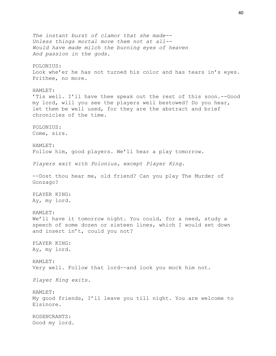*The instant burst of clamor that she made-- Unless things mortal move them not at all-- Would have made milch the burning eyes of heaven And passion in the gods.* POLONIUS: Look whe'er he has not turned his color and has tears in's eyes. Prithee, no more. HAMLET: 'Tis well. I'll have thee speak out the rest of this soon.--Good my lord, will you see the players well bestowed? Do you hear, let them be well used, for they are the abstract and brief chronicles of the time. POLONIUS: Come, sirs. HAMLET: Follow him, good players. We'll hear a play tomorrow. *Players exit with Polonius, except Player King.* --Dost thou hear me, old friend? Can you play The Murder of Gonzago? PLAYER KING: Ay, my lord. HAMLET: We'll have it tomorrow night. You could, for a need, study a speech of some dozen or sixteen lines, which I would set down and insert in't, could you not? PLAYER KING: Ay, my lord. HAMLET: Very well. Follow that lord--and look you mock him not. *Player King exits.* HAMLET: My good friends, I'll leave you till night. You are welcome to Elsinore. ROSENCRANTZ: Good my lord.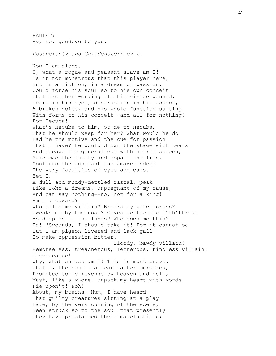HAMLET: Ay, so, goodbye to you. *Rosencrantz and Guildenstern exit.* Now I am alone. O, what a rogue and peasant slave am I! Is it not monstrous that this player here, But in a fiction, in a dream of passion, Could force his soul so to his own conceit That from her working all his visage wanned, Tears in his eyes, distraction in his aspect, A broken voice, and his whole function suiting With forms to his conceit--and all for nothing! For Hecuba! What's Hecuba to him, or he to Hecuba, That he should weep for her? What would he do Had he the motive and the cue for passion That I have? He would drown the stage with tears And cleave the general ear with horrid speech, Make mad the guilty and appall the free, Confound the ignorant and amaze indeed The very faculties of eyes and ears. Yet I, A dull and muddy-mettled rascal, peak Like John-a-dreams, unpregnant of my cause, And can say nothing--no, not for a king! Am I a coward? Who calls me villain? Breaks my pate across? Tweaks me by the nose? Gives me the lie i'th'throat As deep as to the lungs? Who does me this? Ha! 'Swounds, I should take it! For it cannot be But I am pigeon-livered and lack gall To make oppression bitter. Bloody, bawdy villain! Remorseless, treacherous, lecherous, kindless villain! O vengeance! Why, what an ass am I! This is most brave. That I, the son of a dear father murdered, Prompted to my revenge by heaven and hell, Must, like a whore, unpack my heart with words Fie upon't! Foh! About, my brains! Hum, I have heard That guilty creatures sitting at a play Have, by the very cunning of the scene, Been struck so to the soul that presently They have proclaimed their malefactions;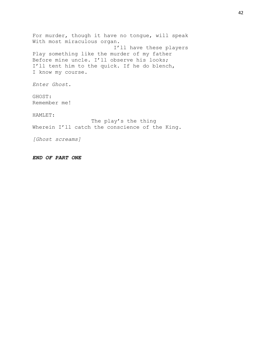For murder, though it have no tongue, will speak With most miraculous organ. I'll have these players Play something like the murder of my father Before mine uncle. I'll observe his looks; I'll tent him to the quick. If he do blench, I know my course. *Enter Ghost.*

GHOST: Remember me!

HAMLET:

The play's the thing Wherein I'll catch the conscience of the King.

*[Ghost screams]*

*END OF PART ONE*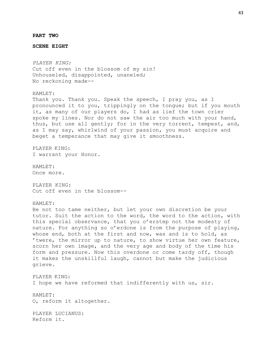**PART TWO**

**SCENE EIGHT**

*PLAYER KING:* Cut off even in the blossom of my sin! Unhouseled, disappointed, unaneled; No reckoning made--

HAMLET: Thank you. Thank you. Speak the speech, I pray you, as I pronounced it to you, trippingly on the tongue; but if you mouth it, as many of our players do, I had as lief the town crier spoke my lines. Nor do not saw the air too much with your hand, thus, but use all gently; for in the very torrent, tempest, and, as I may say, whirlwind of your passion, you must acquire and beget a temperance that may give it smoothness.

PLAYER KING: I warrant your Honor.

HAMLET: Once more.

PLAYER KING: Cut off even in the blossom--

HAMLET:

Be not too tame neither, but let your own discretion be your tutor. Suit the action to the word, the word to the action, with this special observance, that you o'erstep not the modesty of nature. For anything so o'erdone is from the purpose of playing, whose end, both at the first and now, was and is to hold, as 'twere, the mirror up to nature, to show virtue her own feature, scorn her own image, and the very age and body of the time his form and pressure. Now this overdone or come tardy off, though it makes the unskillful laugh, cannot but make the judicious grieve.

PLAYER KING: I hope we have reformed that indifferently with us, sir.

HAMLET: O, reform it altogether.

PLAYER LUCIANUS: Reform it.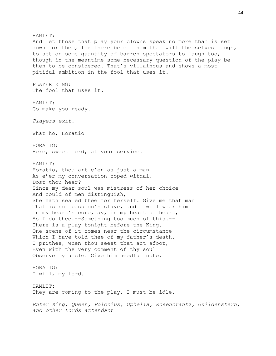HAMLET: And let those that play your clowns speak no more than is set down for them, for there be of them that will themselves laugh, to set on some quantity of barren spectators to laugh too, though in the meantime some necessary question of the play be then to be considered. That's villainous and shows a most pitiful ambition in the fool that uses it. PLAYER KING: The fool that uses it. HAMLET: Go make you ready. *Players exit.* What ho, Horatio! HORATIO: Here, sweet lord, at your service. HAMLET: Horatio, thou art e'en as just a man As e'er my conversation coped withal. Dost thou hear? Since my dear soul was mistress of her choice And could of men distinguish, She hath sealed thee for herself. Give me that man That is not passion's slave, and I will wear him In my heart's core, ay, in my heart of heart, As I do thee.--Something too much of this.-- There is a play tonight before the King. One scene of it comes near the circumstance Which I have told thee of my father's death. I prithee, when thou seest that act afoot, Even with the very comment of thy soul Observe my uncle. Give him heedful note. HORATIO: I will, my lord. HAMLET: They are coming to the play. I must be idle. *Enter King, Queen, Polonius, Ophelia, Rosencrantz, Guildenstern, and other Lords attendant*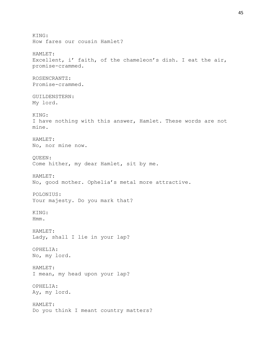KING: How fares our cousin Hamlet? HAMLET: Excellent, i' faith, of the chameleon's dish. I eat the air, promise-crammed. ROSENCRANTZ: Promise-crammed. GUILDENSTERN: My lord. KING: I have nothing with this answer, Hamlet. These words are not mine. HAMLET: No, nor mine now. QUEEN: Come hither, my dear Hamlet, sit by me. HAMLET: No, good mother. Ophelia's metal more attractive. POLONIUS: Your majesty. Do you mark that? KING: Hmm. HAMLET: Lady, shall I lie in your lap? OPHELIA: No, my lord. HAMLET: I mean, my head upon your lap? OPHELIA: Ay, my lord. HAMLET: Do you think I meant country matters?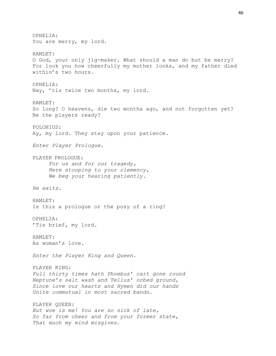OPHELIA: You are merry, my lord. HAMLET: O God, your only jig-maker. What should a man do but be merry? For look you how cheerfully my mother looks, and my father died within's two hours. OPHELIA: Nay, 'tis twice two months, my lord. HAMLET: So long? O heavens, die two months ago, and not forgotten yet? Be the players ready? POLONIUS: Ay, my lord. They stay upon your patience. *Enter Player Prologue.* PLAYER PROLOGUE: *For us and for our tragedy, Here stooping to your clemency, We beg your hearing patiently. He exits.* HAMLET: Is this a prologue or the posy of a ring? OPHELIA: 'Tis brief, my lord. HAMLET: As woman's love. *Enter the Player King and Queen.* PLAYER KING: *Full thirty times hath Phoebus' cart gone round Neptune's salt wash and Tellus' orbed ground, Since love our hearts and Hymen did our hands Unite commutual in most sacred bands.* PLAYER QUEEN: *But woe is me! You are so sick of late, So far from cheer and from your former state, That much my mind misgives.*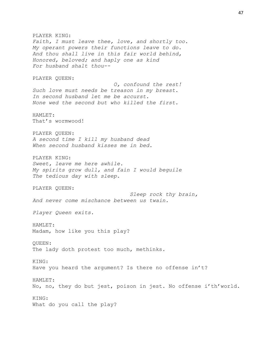PLAYER KING: *Faith, I must leave thee, love, and shortly too. My operant powers their functions leave to do. And thou shall live in this fair world behind, Honored, beloved; and haply one as kind For husband shalt thou--* PLAYER QUEEN: *O, confound the rest! Such love must needs be treason in my breast. In second husband let me be accurst. None wed the second but who killed the first.* HAMLET: That's wormwood! PLAYER QUEEN: *A second time I kill my husband dead When second husband kisses me in bed.* PLAYER KING: *Sweet, leave me here awhile. My spirits grow dull, and fain I would beguile The tedious day with sleep.* PLAYER QUEEN: *Sleep rock thy brain, And never come mischance between us twain. Player Queen exits.* HAMLET: Madam, how like you this play? QUEEN: The lady doth protest too much, methinks. KING: Have you heard the argument? Is there no offense in't? HAMLET: No, no, they do but jest, poison in jest. No offense i'th'world. KING: What do you call the play?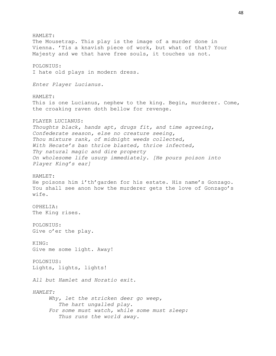HAMLET: The Mousetrap. This play is the image of a murder done in Vienna. 'Tis a knavish piece of work, but what of that? Your Majesty and we that have free souls, it touches us not. POLONIUS: I hate old plays in modern dress. *Enter Player Lucianus.* HAMLET: This is one Lucianus, nephew to the king. Begin, murderer. Come, the croaking raven doth bellow for revenge. PLAYER LUCIANUS: *Thoughts black, hands apt, drugs fit, and time agreeing, Confederate season, else no creature seeing, Thou mixture rank, of midnight weeds collected, With Hecate's ban thrice blasted, thrice infected, Thy natural magic and dire property On wholesome life usurp immediately. [He pours poison into Player King's ear]* HAMLET: He poisons him i'th'garden for his estate. His name's Gonzago. You shall see anon how the murderer gets the love of Gonzago's wife. OPHELIA: The King rises. POLONIUS: Give o'er the play. KING: Give me some light. Away! POLONIUS: Lights, lights, lights! *All but Hamlet and Horatio exit. HAMLET: Why, let the stricken deer go weep, The hart ungalled play. For some must watch, while some must sleep: Thus runs the world away.*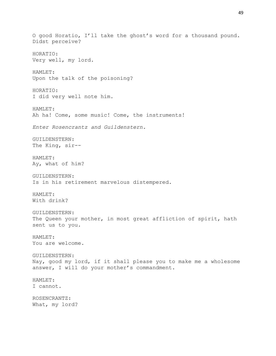O good Horatio, I'll take the ghost's word for a thousand pound. Didst perceive? HORATIO: Very well, my lord. HAMLET: Upon the talk of the poisoning? HORATIO: I did very well note him. HAMLET: Ah ha! Come, some music! Come, the instruments! *Enter Rosencrantz and Guildenstern.* GUILDENSTERN: The King, sir-- HAMLET: Ay, what of him? GUILDENSTERN: Is in his retirement marvelous distempered. HAMLET: With drink? GUILDENSTERN: The Queen your mother, in most great affliction of spirit, hath sent us to you. HAMLET: You are welcome. GUILDENSTERN: Nay, good my lord, if it shall please you to make me a wholesome answer, I will do your mother's commandment. HAMLET: I cannot. ROSENCRANTZ: What, my lord?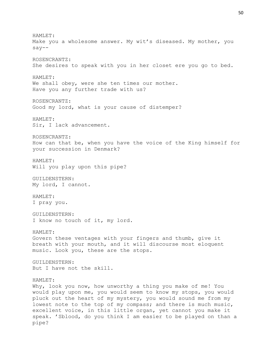HAMLET: Make you a wholesome answer. My wit's diseased. My mother, you say-- ROSENCRANTZ: She desires to speak with you in her closet ere you go to bed. HAMLET: We shall obey, were she ten times our mother. Have you any further trade with us? ROSENCRANTZ: Good my lord, what is your cause of distemper? HAMLET: Sir, I lack advancement. ROSENCRANTZ: How can that be, when you have the voice of the King himself for your succession in Denmark? HAMLET: Will you play upon this pipe? GUILDENSTERN: My lord, I cannot. HAMLET: I pray you. GUILDENSTERN: I know no touch of it, my lord. HAMLET: Govern these ventages with your fingers and thumb, give it breath with your mouth, and it will discourse most eloquent music. Look you, these are the stops. GUILDENSTERN: But I have not the skill. HAMLET: Why, look you now, how unworthy a thing you make of me! You would play upon me, you would seem to know my stops, you would pluck out the heart of my mystery, you would sound me from my lowest note to the top of my compass; and there is much music, excellent voice, in this little organ, yet cannot you make it speak. 'Sblood, do you think I am easier to be played on than a pipe?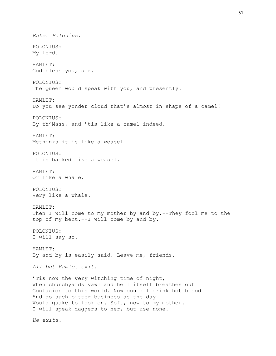*Enter Polonius.* POLONIUS: My lord. HAMLET: God bless you, sir. POLONIUS: The Queen would speak with you, and presently. HAMLET: Do you see yonder cloud that's almost in shape of a camel? POLONIUS: By th'Mass, and 'tis like a camel indeed. HAMLET: Methinks it is like a weasel. POLONIUS: It is backed like a weasel. HAMLET: Or like a whale. POLONIUS: Very like a whale. HAMLET: Then I will come to my mother by and by.--They fool me to the top of my bent.--I will come by and by. POLONIUS: I will say so. HAMLET: By and by is easily said. Leave me, friends. *All but Hamlet exit.* 'Tis now the very witching time of night, When churchyards yawn and hell itself breathes out Contagion to this world. Now could I drink hot blood And do such bitter business as the day Would quake to look on. Soft, now to my mother. I will speak daggers to her, but use none. *He exits.*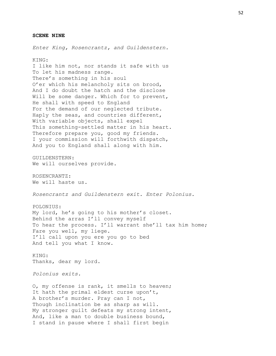#### **SCENE NINE**

*Enter King, Rosencrantz, and Guildenstern.*

KING:

I like him not, nor stands it safe with us To let his madness range. There's something in his soul O'er which his melancholy sits on brood, And I do doubt the hatch and the disclose Will be some danger. Which for to prevent, He shall with speed to England For the demand of our neglected tribute. Haply the seas, and countries different, With variable objects, shall expel This something-settled matter in his heart. Therefore prepare you, good my friends. I your commission will forthwith dispatch, And you to England shall along with him.

GUILDENSTERN: We will ourselves provide.

ROSENCRANTZ: We will haste us.

*Rosencrantz and Guildenstern exit. Enter Polonius.*

POLONIUS:

My lord, he's going to his mother's closet. Behind the arras I'll convey myself To hear the process. I'll warrant she'll tax him home; Fare you well, my liege. I'll call upon you ere you go to bed And tell you what I know.

KING: Thanks, dear my lord.

*Polonius exits.*

O, my offense is rank, it smells to heaven; It hath the primal eldest curse upon't, A brother's murder. Pray can I not, Though inclination be as sharp as will. My stronger guilt defeats my strong intent, And, like a man to double business bound, I stand in pause where I shall first begin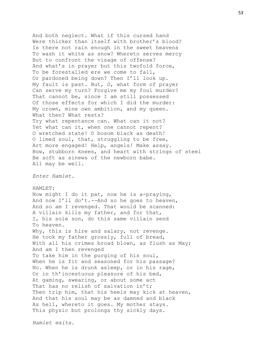And both neglect. What if this cursed hand Were thicker than itself with brother's blood? Is there not rain enough in the sweet heavens To wash it white as snow? Whereto serves mercy But to confront the visage of offense? And what's in prayer but this twofold force, To be forestalled ere we come to fall, Or pardoned being down? Then I'll look up. My fault is past. But, O, what form of prayer Can serve my turn? Forgive me my foul murder? That cannot be, since I am still possessed Of those effects for which I did the murder: My crown, mine own ambition, and my queen. What then? What rests? Try what repentance can. What can it not? Yet what can it, when one cannot repent? O wretched state! O bosom black as death! O limed soul, that, struggling to be free, Art more engaged! Help, angels! Make assay. Bow, stubborn knees, and heart with strings of steel Be soft as sinews of the newborn babe. All may be well. *Enter Hamlet.* HAMLET: Now might I do it pat, now he is a-praying, And now I'll do't.*--*And so he goes to heaven, And so am I revenged. That would be scanned: A villain kills my father, and for that, I, his sole son, do this same villain send To heaven. Why, this is hire and salary, not revenge. He took my father grossly, full of bread, With all his crimes broad blown, as flush as May; And am I then revenged To take him in the purging of his soul, When he is fit and seasoned for his passage? No. When he is drunk asleep, or in his rage, Or in th'incestuous pleasure of his bed, At gaming, swearing, or about some act That has no relish of salvation in't; Then trip him, that his heels may kick at heaven, And that his soul may be as damned and black As hell, whereto it goes. My mother stays. This physic but prolongs thy sickly days.

*Hamlet exits.*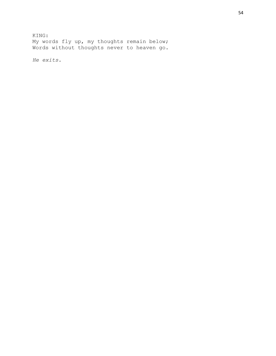KING: My words fly up, my thoughts remain below; Words without thoughts never to heaven go.

*He exits.*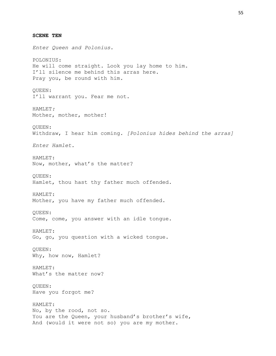**SCENE TEN** *Enter Queen and Polonius.* POLONIUS: He will come straight. Look you lay home to him. I'll silence me behind this arras here. Pray you, be round with him. QUEEN: I'll warrant you. Fear me not. HAMLET*:* Mother, mother, mother! QUEEN: Withdraw, I hear him coming. *[Polonius hides behind the arras] Enter Hamlet.* HAMLET: Now, mother, what's the matter? QUEEN: Hamlet, thou hast thy father much offended. HAMLET: Mother, you have my father much offended. QUEEN: Come, come, you answer with an idle tongue. HAMLET: Go, go, you question with a wicked tongue. QUEEN: Why, how now, Hamlet? HAMLET: What's the matter now? QUEEN: Have you forgot me? HAMLET: No, by the rood, not so. You are the Queen, your husband's brother's wife, And (would it were not so) you are my mother.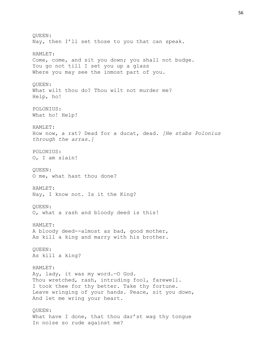QUEEN: Nay, then I'll set those to you that can speak. HAMLET: Come, come, and sit you down; you shall not budge. You go not till I set you up a glass Where you may see the inmost part of you. QUEEN: What wilt thou do? Thou wilt not murder me? Help, ho! POLONIUS: What ho! Help! HAMLET: How now, a rat? Dead for a ducat, dead. *[He stabs Polonius through the arras.]* POLONIUS: O, I am slain! QUEEN: O me, what hast thou done? HAMLET: Nay, I know not. Is it the King? QUEEN: O, what a rash and bloody deed is this! HAMLET: A bloody deed--almost as bad, good mother, As kill a king and marry with his brother. QUEEN: As kill a king? HAMLET: Ay, lady, it was my word.—O God. Thou wretched, rash, intruding fool, farewell. I took thee for thy better. Take thy fortune. Leave wringing of your hands. Peace, sit you down, And let me wring your heart. QUEEN: What have I done, that thou dar'st wag thy tongue In noise so rude against me?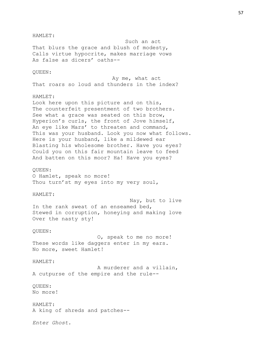#### HAMLET:

Such an act That blurs the grace and blush of modesty, Calls virtue hypocrite, makes marriage vows As false as dicers' oaths--

### QUEEN:

Ay me, what act That roars so loud and thunders in the index?

### HAMLET:

Look here upon this picture and on this, The counterfeit presentment of two brothers. See what a grace was seated on this brow, Hyperion's curls, the front of Jove himself, An eye like Mars' to threaten and command, This was your husband. Look you now what follows. Here is your husband, like a mildewed ear Blasting his wholesome brother. Have you eyes? Could you on this fair mountain leave to feed And batten on this moor? Ha! Have you eyes?

### QUEEN:

O Hamlet, speak no more! Thou turn'st my eyes into my very soul,

## HAMLET:

Nay, but to live In the rank sweat of an enseamed bed, Stewed in corruption, honeying and making love Over the nasty sty!

#### QUEEN:

O, speak to me no more! These words like daggers enter in my ears. No more, sweet Hamlet!

### HAMLET:

A murderer and a villain, A cutpurse of the empire and the rule--

## QUEEN: No more!

HAMLET: A king of shreds and patches--

*Enter Ghost.*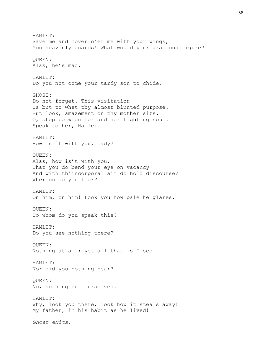HAMLET: Save me and hover o'er me with your wings, You heavenly guards! What would your gracious figure? QUEEN: Alas, he's mad. HAMLET: Do you not come your tardy son to chide, GHOST: Do not forget. This visitation Is but to whet thy almost blunted purpose. But look, amazement on thy mother sits. O, step between her and her fighting soul. Speak to her, Hamlet. HAMLET: How is it with you, lady? QUEEN: Alas, how is't with you, That you do bend your eye on vacancy And with th'incorporal air do hold discourse? Whereon do you look? HAMLET: On him, on him! Look you how pale he glares. QUEEN: To whom do you speak this? HAMLET: Do you see nothing there? QUEEN: Nothing at all; yet all that is I see. HAMLET: Nor did you nothing hear? QUEEN: No, nothing but ourselves. HAMLET: Why, look you there, look how it steals away! My father, in his habit as he lived! *Ghost exits.*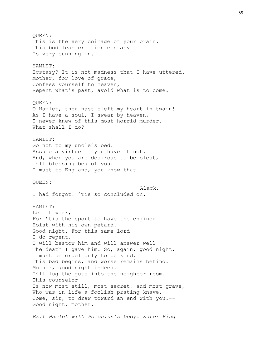QUEEN: This is the very coinage of your brain. This bodiless creation ecstasy Is very cunning in. HAMLET: Ecstasy? It is not madness that I have uttered. Mother, for love of grace, Confess yourself to heaven, Repent what's past, avoid what is to come. QUEEN: O Hamlet, thou hast cleft my heart in twain! As I have a soul, I swear by heaven, I never knew of this most horrid murder. What shall I do? HAMLET: Go not to my uncle's bed. Assume a virtue if you have it not. And, when you are desirous to be blest, I'll blessing beg of you. I must to England, you know that. QUEEN: Alack, I had forgot! 'Tis so concluded on. HAMLET: Let it work, For 'tis the sport to have the enginer Hoist with his own petard. Good night. For this same lord I do repent. I will bestow him and will answer well The death I gave him. So, again, good night. I must be cruel only to be kind. This bad begins, and worse remains behind. Mother, good night indeed. I'll lug the guts into the neighbor room. This counselor Is now most still, most secret, and most grave, Who was in life a foolish prating knave.--Come, sir, to draw toward an end with you.-- Good night, mother.

*Exit Hamlet with Polonius's body. Enter King*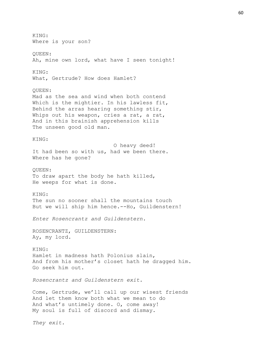KING: Where is your son? QUEEN: Ah, mine own lord, what have I seen tonight! KING: What, Gertrude? How does Hamlet? QUEEN: Mad as the sea and wind when both contend Which is the mightier. In his lawless fit, Behind the arras hearing something stir, Whips out his weapon, cries a rat, a rat, And in this brainish apprehension kills The unseen good old man. KING: O heavy deed! It had been so with us, had we been there. Where has he gone? QUEEN: To draw apart the body he hath killed, He weeps for what is done. KING: The sun no sooner shall the mountains touch But we will ship him hence.--Ho, Guildenstern! *Enter Rosencrantz and Guildenstern.* ROSENCRANTZ, GUILDENSTERN: Ay, my lord. KING: Hamlet in madness hath Polonius slain, And from his mother's closet hath he dragged him. Go seek him out. *Rosencrantz and Guildenstern exit.* Come, Gertrude, we'll call up our wisest friends And let them know both what we mean to do And what's untimely done. O, come away! My soul is full of discord and dismay. *They exit.*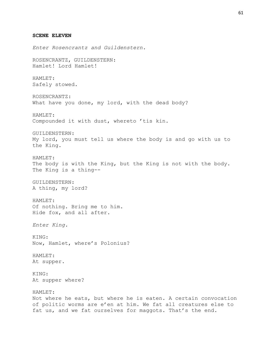**SCENE ELEVEN** *Enter Rosencrantz and Guildenstern.* ROSENCRANTZ, GUILDENSTERN: Hamlet! Lord Hamlet! HAMLET: Safely stowed. ROSENCRANTZ: What have you done, my lord, with the dead body? HAMLET: Compounded it with dust, whereto 'tis kin. GUILDENSTERN: My lord, you must tell us where the body is and go with us to the King. HAMLET: The body is with the King, but the King is not with the body. The King is a thing-- GUILDENSTERN: A thing, my lord? HAMLET: Of nothing. Bring me to him. Hide fox, and all after. *Enter King.* KING: Now, Hamlet, where's Polonius? HAMLET: At supper. KING: At supper where? HAMLET: Not where he eats, but where he is eaten. A certain convocation of politic worms are e'en at him. We fat all creatures else to fat us, and we fat ourselves for maggots. That's the end.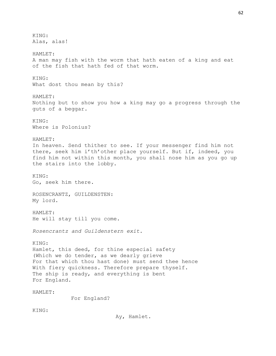KING: Alas, alas! HAMLET: A man may fish with the worm that hath eaten of a king and eat of the fish that hath fed of that worm. KING: What dost thou mean by this? HAMLET: Nothing but to show you how a king may go a progress through the guts of a beggar. KING: Where is Polonius? HAMLET: In heaven. Send thither to see. If your messenger find him not there, seek him i'th'other place yourself. But if, indeed, you find him not within this month, you shall nose him as you go up the stairs into the lobby. KING: Go, seek him there. ROSENCRANTZ, GUILDENSTEN: My lord. HAMLET: He will stay till you come. *Rosencrantz and Guildenstern exit.* KING: Hamlet, this deed, for thine especial safety (Which we do tender, as we dearly grieve For that which thou hast done) must send thee hence With fiery quickness. Therefore prepare thyself. The ship is ready, and everything is bent For England. HAMLET: For England? KING: Ay, Hamlet.

62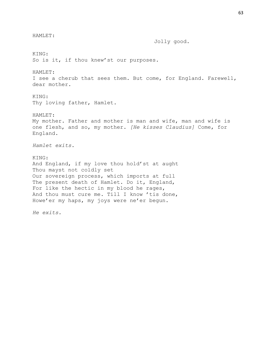HAMLET: Jolly good. KING: So is it, if thou knew'st our purposes. HAMLET: I see a cherub that sees them. But come, for England. Farewell, dear mother. KING: Thy loving father, Hamlet. HAMLET: My mother. Father and mother is man and wife, man and wife is one flesh, and so, my mother. *[He kisses Claudius]* Come, for England. *Hamlet exits.*  KING: And England, if my love thou hold'st at aught Thou mayst not coldly set Our sovereign process, which imports at full The present death of Hamlet. Do it, England, For like the hectic in my blood he rages, And thou must cure me. Till I know 'tis done, Howe'er my haps, my joys were ne'er begun.

*He exits.*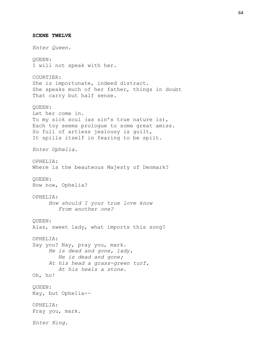**SCENE TWELVE** *Enter Queen.* QUEEN: I will not speak with her. COURTIER: She is importunate, indeed distract. She speaks much of her father, things in doubt That carry but half sense. QUEEN: Let her come in. To my sick soul (as sin's true nature is), Each toy seems prologue to some great amiss. So full of artless jealousy is guilt, It spills itself in fearing to be spilt. *Enter Ophelia.* OPHELIA: Where is the beauteous Majesty of Denmark? QUEEN: How now, Ophelia? OPHELIA: *How should I your true love know From another one?* QUEEN: Alas, sweet lady, what imports this song? OPHELIA: Say you? Nay, pray you, mark. *He is dead and gone, lady, He is dead and gone; At his head a grass-green turf, At his heels a stone.* Oh, ho! QUEEN: Nay, but Ophelia-- OPHELIA: Pray you, mark. *Enter King.*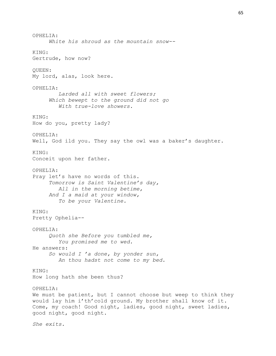OPHELIA: *White his shroud as the mountain snow--* KING: Gertrude, how now? QUEEN: My lord, alas, look here. OPHELIA:  *Larded all with sweet flowers; Which bewept to the ground did not go With true-love showers.* KING: How do you, pretty lady? OPHELIA: Well, God ild you. They say the owl was a baker's daughter. KING: Conceit upon her father. OPHELIA: Pray let's have no words of this. *Tomorrow is Saint Valentine's day, All in the morning betime, And I a maid at your window, To be your Valentine.* KING: Pretty Ophelia-- OPHELIA: *Quoth she Before you tumbled me, You promised me to wed.* He answers: *So would I 'a done, by yonder sun, An thou hadst not come to my bed.* KING: How long hath she been thus? OPHELIA: We must be patient, but I cannot choose but weep to think they would lay him i'th'cold ground. My brother shall know of it. Come, my coach! Good night, ladies, good night, sweet ladies, good night, good night. *She exits.*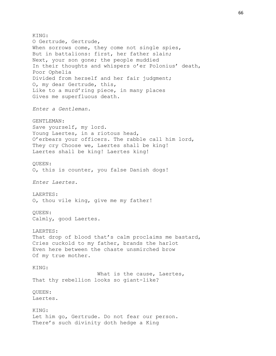KING: O Gertrude, Gertrude, When sorrows come, they come not single spies, But in battalions: first, her father slain; Next, your son gone; the people muddied In their thoughts and whispers o'er Polonius' death, Poor Ophelia Divided from herself and her fair judgment; O, my dear Gertrude, this, Like to a murd'ring piece, in many places Gives me superfluous death. *Enter a Gentleman.* GENTLEMAN: Save yourself, my lord. Young Laertes, in a riotous head, O'erbears your officers. The rabble call him lord, They cry Choose we, Laertes shall be king! Laertes shall be king! Laertes king! QUEEN: O, this is counter, you false Danish dogs! *Enter Laertes.* LAERTES: O, thou vile king, give me my father! QUEEN: Calmly, good Laertes. LAERTES: That drop of blood that's calm proclaims me bastard, Cries cuckold to my father, brands the harlot Even here between the chaste unsmirched brow Of my true mother. KING: What is the cause, Laertes, That thy rebellion looks so giant-like? QUEEN: Laertes. KING: Let him go, Gertrude. Do not fear our person. There's such divinity doth hedge a King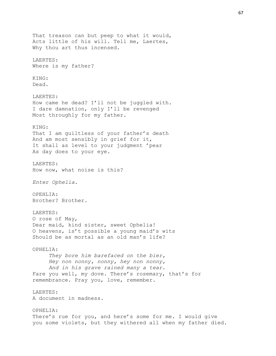That treason can but peep to what it would, Acts little of his will. Tell me, Laertes, Why thou art thus incensed. LAERTES: Where is my father? KING: Dead. LAERTES: How came he dead? I'll not be juggled with. I dare damnation, only I'll be revenged Most throughly for my father. KING: That I am guiltless of your father's death And am most sensibly in grief for it, It shall as level to your judgment 'pear As day does to your eye. LAERTES: How now, what noise is this? *Enter Ophelia.* OPEHLIA: Brother? Brother. LAERTES: O rose of May, Dear maid, kind sister, sweet Ophelia! O heavens, is't possible a young maid's wits Should be as mortal as an old man's life? OPHELIA: *They bore him barefaced on the bier, Hey non nonny, nonny, hey non nonny, And in his grave rained many a tear.* Fare you well, my dove. There's rosemary, that's for remembrance. Pray you, love, remember. LAERTES: A document in madness. OPHELIA: There's rue for you, and here's some for me. I would give you some violets, but they withered all when my father died.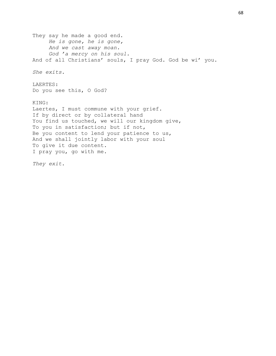They say he made a good end. *He is gone, he is gone, And we cast away moan. God 'a mercy on his soul.* And of all Christians' souls, I pray God. God be wi' you. *She exits.* LAERTES: Do you see this, O God? KING: Laertes, I must commune with your grief. If by direct or by collateral hand You find us touched, we will our kingdom give, To you in satisfaction; but if not, Be you content to lend your patience to us, And we shall jointly labor with your soul To give it due content. I pray you, go with me. *They exit.*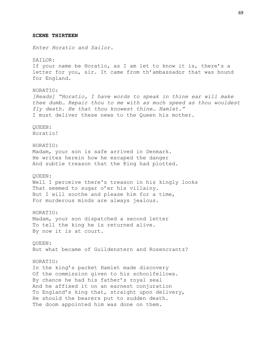### **SCENE THIRTEEN**

*Enter Horatio and Sailor.*

SAILOR: If your name be Horatio, as I am let to know it is, there's a letter for you, sir. It came from th'ambassador that was bound for England.

HORATIO: *[Reads] "Horatio, I have words to speak in thine ear will make thee dumb… Repair thou to me with as much speed as thou wouldest fly death. He that thou knowest thine… Hamlet."*  I must deliver these news to the Queen his mother.

QUEEN: Horatio!

## HORATIO:

Madam, your son is safe arrived in Denmark. He writes herein how he escaped the danger And subtle treason that the King had plotted.

### QUEEN:

Well I perceive there's treason in his kingly looks That seemed to sugar o'er his villainy. But I will soothe and please him for a time, For murderous minds are always jealous.

# HORATIO:

Madam, your son dispatched a second letter To tell the king he is returned alive. By now it is at court.

QUEEN: But what became of Guildenstern and Rosencrantz?

### HORATIO:

In the king's packet Hamlet made discovery Of the commission given to his schoolfellows. By chance he had his father's royal seal And he affixed it on an earnest conjuration To England's king that, straight upon delivery, He should the bearers put to sudden death. The doom appointed him was done on them.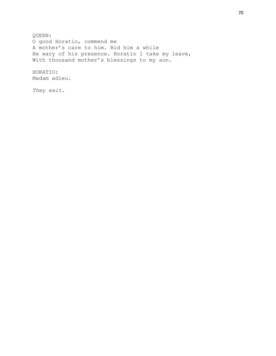QUEEN: O good Horatio, commend me A mother's care to him. Bid him a while Be wary of his presence. Horatio I take my leave, With thousand mother's blessings to my son.

HORATIO: Madam adieu.

*They exit.*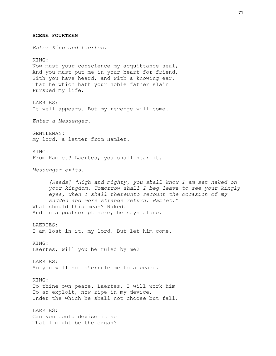**SCENE FOURTEEN** *Enter King and Laertes.* KING: Now must your conscience my acquittance seal, And you must put me in your heart for friend, Sith you have heard, and with a knowing ear, That he which hath your noble father slain Pursued my life. LAERTES: It well appears. But my revenge will come. *Enter a Messenger.* GENTLEMAN: My lord, a letter from Hamlet. KING: From Hamlet? Laertes, you shall hear it. *Messenger exits. [Reads] "High and mighty, you shall know I am set naked on your kingdom. Tomorrow shall I beg leave to see your kingly eyes, when I shall thereunto recount the occasion of my sudden and more strange return. Hamlet."* What should this mean? Naked. And in a postscript here, he says alone. LAERTES: I am lost in it, my lord. But let him come. KING: Laertes, will you be ruled by me? LAERTES: So you will not o'errule me to a peace. KING: To thine own peace. Laertes, I will work him To an exploit, now ripe in my device, Under the which he shall not choose but fall. LAERTES: Can you could devise it so That I might be the organ?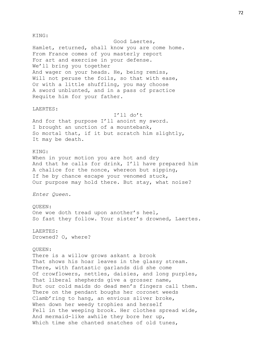KING:

Good Laertes, Hamlet, returned, shall know you are come home. From France comes of you masterly report For art and exercise in your defense. We'll bring you together And wager on your heads. He, being remiss, Will not peruse the foils, so that with ease, Or with a little shuffling, you may choose A sword unblunted, and in a pass of practice Requite him for your father.

# LAERTES:

I'll do't And for that purpose I'll anoint my sword. I brought an unction of a mountebank, So mortal that, if it but scratch him slightly, It may be death.

## KING:

When in your motion you are hot and dry And that he calls for drink, I'll have prepared him A chalice for the nonce, whereon but sipping, If he by chance escape your venomed stuck, Our purpose may hold there. But stay, what noise?

*Enter Queen.*

### QUEEN:

One woe doth tread upon another's heel, So fast they follow. Your sister's drowned, Laertes.

# LAERTES:

Drowned? O, where?

## QUEEN:

There is a willow grows askant a brook That shows his hoar leaves in the glassy stream. There, with fantastic garlands did she come Of crowflowers, nettles, daisies, and long purples, That liberal shepherds give a grosser name, But our cold maids do dead men's fingers call them. There on the pendant boughs her coronet weeds Clamb'ring to hang, an envious sliver broke, When down her weedy trophies and herself Fell in the weeping brook. Her clothes spread wide, And mermaid-like awhile they bore her up, Which time she chanted snatches of old tunes,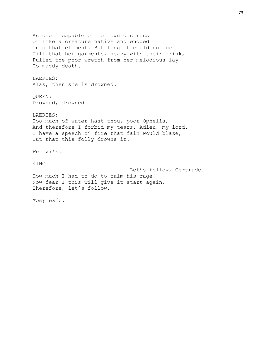As one incapable of her own distress Or like a creature native and endued Unto that element. But long it could not be Till that her garments, heavy with their drink, Pulled the poor wretch from her melodious lay To muddy death. LAERTES: Alas, then she is drowned. QUEEN: Drowned, drowned. LAERTES: Too much of water hast thou, poor Ophelia, And therefore I forbid my tears. Adieu, my lord. I have a speech o' fire that fain would blaze, But that this folly drowns it. *He exits.* KING: Let's follow, Gertrude. How much I had to do to calm his rage! Now fear I this will give it start again. Therefore, let's follow. *They exit.*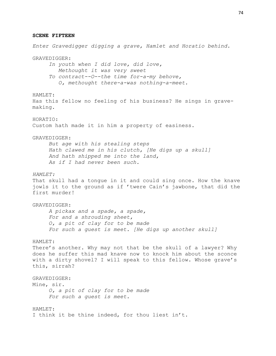#### **SCENE FIFTEEN**

*Enter Gravedigger digging a grave, Hamlet and Horatio behind.* GRAVEDIGGER: *In youth when I did love, did love, Methought it was very sweet To contract--O--the time for-a-my behove, O, methought there-a-was nothing-a-meet.* HAMLET: Has this fellow no feeling of his business? He sings in gravemaking. HORATIO: Custom hath made it in him a property of easiness. GRAVEDIGGER: *But age with his stealing steps Hath clawed me in his clutch, [He digs up a skull] And hath shipped me into the land, As if I had never been such. HAMLET:* That skull had a tongue in it and could sing once. How the knave jowls it to the ground as if 'twere Cain's jawbone, that did the first murder! GRAVEDIGGER: *A pickax and a spade, a spade, For and a shrouding sheet, O, a pit of clay for to be made For such a guest is meet. [He digs up another skull]* HAMLET: There's another. Why may not that be the skull of a lawyer? Why does he suffer this mad knave now to knock him about the sconce with a dirty shovel? I will speak to this fellow. Whose grave's this, sirrah? GRAVEDIGGER: Mine, sir. *O, a pit of clay for to be made For such a guest is meet.* HAMLET: I think it be thine indeed, for thou liest in't.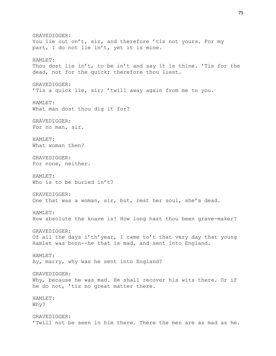GRAVEDIGGER: You lie out on't, sir, and therefore 'tis not yours. For my part, I do not lie in't, yet it is mine. HAMLET: Thou dost lie in't, to be in't and say it is thine. 'Tis for the dead, not for the quick; therefore thou liest. GRAVEDIGGER: 'Tis a quick lie, sir; 'twill away again from me to you. HAMLET: What man dost thou dig it for? GRAVEDIGGER: For no man, sir. HAMLET: What woman then? GRAVEDIGGER: For none, neither. HAMLET: Who is to be buried in't? GRAVEDIGGER: One that was a woman, sir, but, rest her soul, she's dead. HAMLET: How absolute the knave is! How long hast thou been grave-maker? GRAVEDIGGER: Of all the days i'th'year, I came to't that very day that young Hamlet was born--he that is mad, and sent into England. HAMLET: Ay, marry, why was he sent into England? GRAVEDIGGER: Why, because he was mad. He shall recover his wits there. Or if he do not, 'tis no great matter there. HAMLET: Why? GRAVEDIGGER: 'Twill not be seen in him there. There the men are as mad as he.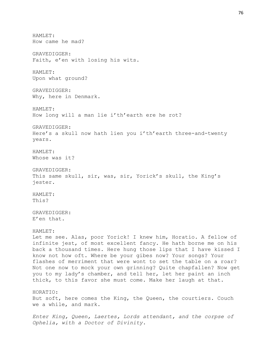HAMLET: How came he mad? GRAVEDIGGER: Faith, e'en with losing his wits. HAMLET: Upon what ground? GRAVEDIGGER: Why, here in Denmark. HAMLET: How long will a man lie i'th'earth ere he rot? GRAVEDIGGER: Here's a skull now hath lien you i'th'earth three-and-twenty years. HAMLET: Whose was it? GRAVEDIGGER: This same skull, sir, was, sir, Yorick's skull, the King's jester. HAMLET: This? GRAVEDIGGER: E'en that. HAMLET: Let me see. Alas, poor Yorick! I knew him, Horatio. A fellow of infinite jest, of most excellent fancy. He hath borne me on his back a thousand times. Here hung those lips that I have kissed I know not how oft. Where be your gibes now? Your songs? Your flashes of merriment that were wont to set the table on a roar? Not one now to mock your own grinning? Quite chapfallen? Now get you to my lady's chamber, and tell her, let her paint an inch thick, to this favor she must come. Make her laugh at that. HORATIO: But soft, here comes the King, the Queen, the courtiers. Couch we a while, and mark. *Enter King, Queen, Laertes, Lords attendant, and the corpse of Ophelia, with a Doctor of Divinity.*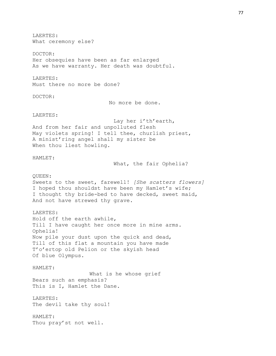LAERTES: What ceremony else? DOCTOR: Her obsequies have been as far enlarged As we have warranty. Her death was doubtful. LAERTES: Must there no more be done? DOCTOR: No more be done. LAERTES: Lay her i'th'earth, And from her fair and unpolluted flesh May violets spring! I tell thee, churlish priest, A minist'ring angel shall my sister be When thou liest howling. HAMLET: What, the fair Ophelia? QUEEN: Sweets to the sweet, farewell! *[She scatters flowers]* I hoped thou shouldst have been my Hamlet's wife; I thought thy bride-bed to have decked, sweet maid, And not have strewed thy grave. LAERTES: Hold off the earth awhile, Till I have caught her once more in mine arms. Ophelia! Now pile your dust upon the quick and dead, Till of this flat a mountain you have made T'o'ertop old Pelion or the skyish head Of blue Olympus. HAMLET: What is he whose grief Bears such an emphasis? This is I, Hamlet the Dane. LAERTES: The devil take thy soul! HAMLET: Thou pray'st not well.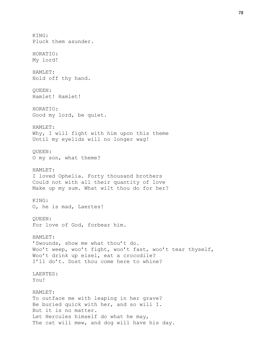KING: Pluck them asunder. HORATIO: My lord! HAMLET: Hold off thy hand. QUEEN: Hamlet! Hamlet! HORATIO: Good my lord, be quiet. HAMLET: Why, I will fight with him upon this theme Until my eyelids will no longer wag! QUEEN: O my son, what theme? HAMLET: I loved Ophelia. Forty thousand brothers Could not with all their quantity of love Make up my sum. What wilt thou do for her? KING: O, he is mad, Laertes! QUEEN: For love of God, forbear him. HAMLET: 'Swounds, show me what thou't do. Woo't weep, woo't fight, woo't fast, woo't tear thyself, Woo't drink up eisel, eat a crocodile? I'll do't. Dost thou come here to whine? LAERTES: You! HAMLET: To outface me with leaping in her grave? Be buried quick with her, and so will I. But it is no matter. Let Hercules himself do what he may, The cat will mew, and dog will have his day.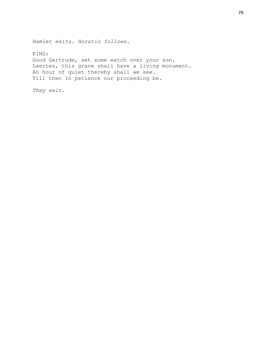*Hamlet exits. Horatio follows.*

KING: Good Gertrude, set some watch over your son. Laertes, this grave shall have a living monument. An hour of quiet thereby shall we see. Till then in patience our proceeding be.

*They exit.*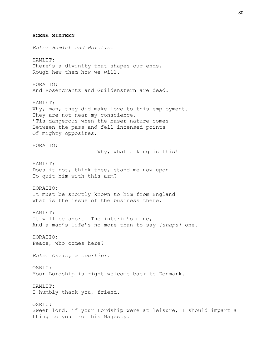**SCENE SIXTEEN** *Enter Hamlet and Horatio.* HAMLET: There's a divinity that shapes our ends, Rough-hew them how we will. HORATIO: And Rosencrantz and Guildenstern are dead. HAMLET: Why, man, they did make love to this employment. They are not near my conscience. 'Tis dangerous when the baser nature comes Between the pass and fell incensed points Of mighty opposites. HORATIO: Why, what a king is this! HAMLET: Does it not, think thee, stand me now upon To quit him with this arm? HORATIO: It must be shortly known to him from England What is the issue of the business there. HAMLET: It will be short. The interim's mine, And a man's life's no more than to say *[snaps]* one. HORATIO: Peace, who comes here? *Enter Osric, a courtier.* OSRIC: Your Lordship is right welcome back to Denmark. HAMLET: I humbly thank you, friend. OSRIC: Sweet lord, if your Lordship were at leisure, I should impart a thing to you from his Majesty.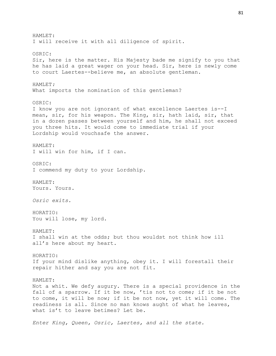HAMLET: I will receive it with all diligence of spirit. OSRIC: Sir, here is the matter. His Majesty bade me signify to you that he has laid a great wager on your head. Sir, here is newly come to court Laertes--believe me, an absolute gentleman. HAMLET*:* What imports the nomination of this gentleman? OSRIC: I know you are not ignorant of what excellence Laertes is--I mean, sir, for his weapon. The King, sir, hath laid, sir, that in a dozen passes between yourself and him, he shall not exceed you three hits. It would come to immediate trial if your Lordship would vouchsafe the answer. HAMLET: I will win for him, if I can. OSRIC: I commend my duty to your Lordship. HAMLET: Yours. Yours. *Osric exits.* HORATIO: You will lose, my lord. HAMLET: I shall win at the odds; but thou wouldst not think how ill all's here about my heart. HORATIO: If your mind dislike anything, obey it. I will forestall their repair hither and say you are not fit. HAMLET: Not a whit. We defy augury. There is a special providence in the fall of a sparrow. If it be now, 'tis not to come; if it be not to come, it will be now; if it be not now, yet it will come. The readiness is all. Since no man knows aught of what he leaves, what is't to leave betimes? Let be.

*Enter King, Queen, Osric, Laertes, and all the state.*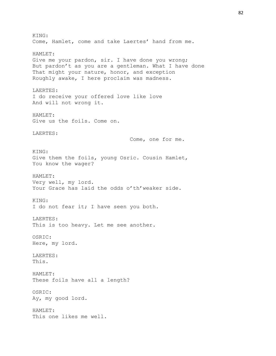KING: Come, Hamlet, come and take Laertes' hand from me. HAMLET: Give me your pardon, sir. I have done you wrong; But pardon't as you are a gentleman. What I have done That might your nature, honor, and exception Roughly awake, I here proclaim was madness. LAERTES: I do receive your offered love like love And will not wrong it. HAMLET: Give us the foils. Come on. LAERTES: Come, one for me. KING: Give them the foils, young Osric. Cousin Hamlet, You know the wager? HAMLET: Very well, my lord. Your Grace has laid the odds o'th'weaker side. KING: I do not fear it; I have seen you both. LAERTES: This is too heavy. Let me see another. OSRIC: Here, my lord. LAERTES: This. HAMLET: These foils have all a length? OSRIC: Ay, my good lord. HAMLET: This one likes me well.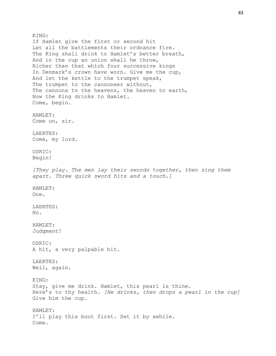KING: If Hamlet give the first or second hit Let all the battlements their ordnance fire. The King shall drink to Hamlet's better breath, And in the cup an union shall he throw, Richer than that which four successive kings In Denmark's crown have worn. Give me the cup, And let the kettle to the trumpet speak, The trumpet to the cannoneer without, The cannons to the heavens, the heaven to earth, Now the King drinks to Hamlet. Come, begin. HAMLET: Come on, sir. LAERTES: Come, my lord. OSRIC: Begin! *[They play. The men lay their swords together, then zing them apart. Three quick sword hits and a touch.]* HAMLET: One. LAERTES: No. HAMLET: Judgment! OSRIC: A hit, a very palpable hit. LAERTES: Well, again. KING: Stay, give me drink. Hamlet, this pearl is thine. Here's to thy health. *[He drinks, then drops a pearl in the cup]* Give him the cup. HAMLET: I'll play this bout first. Set it by awhile. Come.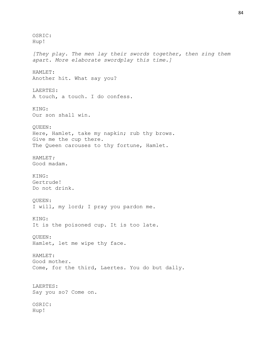OSRIC: Hup! *[They play. The men lay their swords together, then zing them apart. More elaborate swordplay this time.]* HAMLET: Another hit. What say you? LAERTES: A touch, a touch. I do confess. KING: Our son shall win. QUEEN: Here, Hamlet, take my napkin; rub thy brows. Give me the cup there. The Queen carouses to thy fortune, Hamlet. HAMLET*:* Good madam. KING: Gertrude! Do not drink. QUEEN: I will, my lord; I pray you pardon me. KING: It is the poisoned cup. It is too late. QUEEN: Hamlet, let me wipe thy face. HAMLET: Good mother. Come, for the third, Laertes. You do but dally. LAERTES: Say you so? Come on. OSRIC: Hup!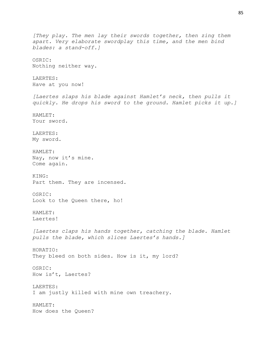```
[They play. The men lay their swords together, then zing them 
apart. Very elaborate swordplay this time, and the men bind 
blades: a stand-off.]
OSRIC:
Nothing neither way.
LAERTES:
Have at you now!
[Laertes slaps his blade against Hamlet's neck, then pulls it 
quickly. He drops his sword to the ground. Hamlet picks it up.]
HAMLET:
Your sword.
LAERTES:
My sword.
HAMLET:
Nay, now it's mine.
Come again.
KING:
Part them. They are incensed.
OSRIC:
Look to the Queen there, ho!
HAMLET:
Laertes!
[Laertes claps his hands together, catching the blade. Hamlet 
pulls the blade, which slices Laertes's hands.]
HORATIO:
They bleed on both sides. How is it, my lord?
OSRIC:
How is't, Laertes?
LAERTES:
I am justly killed with mine own treachery.
HAMLET:
How does the Queen?
```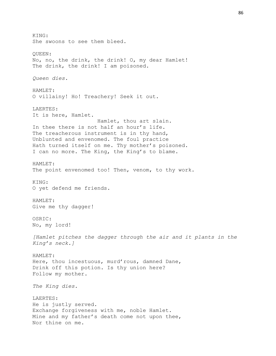KING: She swoons to see them bleed. QUEEN: No, no, the drink, the drink! O, my dear Hamlet! The drink, the drink! I am poisoned. *Queen dies.* HAMLET: O villainy! Ho! Treachery! Seek it out. LAERTES: It is here, Hamlet. Hamlet, thou art slain. In thee there is not half an hour's life. The treacherous instrument is in thy hand, Unblunted and envenomed. The foul practice Hath turned itself on me. Thy mother's poisoned. I can no more. The King, the King's to blame. HAMLET: The point envenomed too! Then, venom, to thy work. KING: O yet defend me friends. HAMLET: Give me thy dagger! OSRIC: No, my lord! *[Hamlet pitches the dagger through the air and it plants in the King's neck.]* HAMLET: Here, thou incestuous, murd'rous, damned Dane, Drink off this potion. Is thy union here? Follow my mother. *The King dies.* LAERTES: He is justly served. Exchange forgiveness with me, noble Hamlet. Mine and my father's death come not upon thee, Nor thine on me.